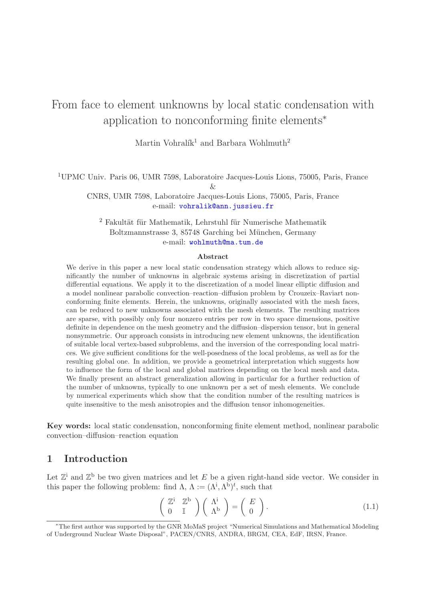# From face to element unknowns by local static condensation with application to nonconforming finite elements<sup>∗</sup>

Martin Vohralík<sup>1</sup> and Barbara Wohlmuth<sup>2</sup>

<sup>1</sup>UPMC Univ. Paris 06, UMR 7598, Laboratoire Jacques-Louis Lions, 75005, Paris, France

 $\chi_{\tau}$ 

CNRS, UMR 7598, Laboratoire Jacques-Louis Lions, 75005, Paris, France e-mail: [vohralik@ann.jussieu.fr](mailto:vohralik@ann.jussieu.fr)

 $2$  Fakultät für Mathematik, Lehrstuhl für Numerische Mathematik Boltzmannstrasse 3, 85748 Garching bei München, Germany e-mail: [wohlmuth@ma.tum.de](mailto:wohlmuth@ma.tum.de)

#### Abstract

We derive in this paper a new local static condensation strategy which allows to reduce significantly the number of unknowns in algebraic systems arising in discretization of partial differential equations. We apply it to the discretization of a model linear elliptic diffusion and a model nonlinear parabolic convection–reaction–diffusion problem by Crouzeix–Raviart nonconforming finite elements. Herein, the unknowns, originally associated with the mesh faces, can be reduced to new unknowns associated with the mesh elements. The resulting matrices are sparse, with possibly only four nonzero entries per row in two space dimensions, positive definite in dependence on the mesh geometry and the diffusion–dispersion tensor, but in general nonsymmetric. Our approach consists in introducing new element unknowns, the identification of suitable local vertex-based subproblems, and the inversion of the corresponding local matrices. We give sufficient conditions for the well-posedness of the local problems, as well as for the resulting global one. In addition, we provide a geometrical interpretation which suggests how to influence the form of the local and global matrices depending on the local mesh and data. We finally present an abstract generalization allowing in particular for a further reduction of the number of unknowns, typically to one unknown per a set of mesh elements. We conclude by numerical experiments which show that the condition number of the resulting matrices is quite insensitive to the mesh anisotropies and the diffusion tensor inhomogeneities.

Key words: local static condensation, nonconforming finite element method, nonlinear parabolic convection–diffusion–reaction equation

## 1 Introduction

Let  $\mathbb{Z}^{\mathbf{i}}$  and  $\mathbb{Z}^{\mathbf{b}}$  be two given matrices and let E be a given right-hand side vector. We consider in this paper the following problem: find  $\Lambda$ ,  $\Lambda := (\Lambda^i, \Lambda^b)^t$ , such that

<span id="page-0-0"></span>
$$
\left(\begin{array}{cc} \mathbb{Z}^{\mathbf{i}} & \mathbb{Z}^{\mathbf{b}} \\ 0 & \mathbb{I} \end{array}\right) \left(\begin{array}{c} \Lambda^{\mathbf{i}} \\ \Lambda^{\mathbf{b}} \end{array}\right) = \left(\begin{array}{c} E \\ 0 \end{array}\right). \tag{1.1}
$$

<sup>∗</sup>The first author was supported by the GNR MoMaS project "Numerical Simulations and Mathematical Modeling of Underground Nuclear Waste Disposal", PACEN/CNRS, ANDRA, BRGM, CEA, EdF, IRSN, France.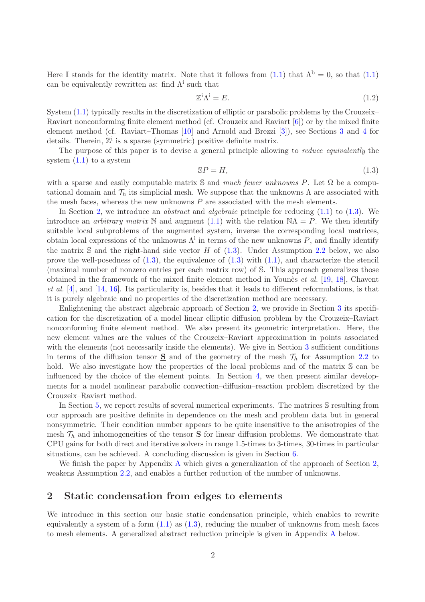Here I stands for the identity matrix. Note that it follows from [\(1.1\)](#page-0-0) that  $\Lambda^b = 0$ , so that (1.1) can be equivalently rewritten as: find  $\Lambda^i$  such that

<span id="page-1-2"></span>
$$
\mathbb{Z}^i \Lambda^i = E. \tag{1.2}
$$

System [\(1.1\)](#page-0-0) typically results in the discretization of elliptic or parabolic problems by the Crouzeix– Raviart nonconforming finite element method (cf. Crouzeix and Raviart [\[6\]](#page-25-0)) or by the mixed finite element method (cf. Raviart–Thomas [\[10\]](#page-25-1) and Arnold and Brezzi [\[3\]](#page-24-0)), see Sections [3](#page-7-0) and [4](#page-12-0) for details. Therein,  $\mathbb{Z}^i$  is a sparse (symmetric) positive definite matrix.

The purpose of this paper is to devise a general principle allowing to *reduce equivalently* the system  $(1.1)$  to a system

<span id="page-1-1"></span>
$$
SP = H,\tag{1.3}
$$

with a sparse and easily computable matrix S and *much fewer unknowns* P. Let  $\Omega$  be a computational domain and  $\mathcal{T}_h$  its simplicial mesh. We suppose that the unknowns  $\Lambda$  are associated with the mesh faces, whereas the new unknowns  $P$  are associated with the mesh elements.

In Section [2,](#page-1-0) we introduce an *abstract* and *algebraic* principle for reducing [\(1.1\)](#page-0-0) to [\(1.3\)](#page-1-1). We introduce an *arbitrary matrix* N and augment [\(1.1\)](#page-0-0) with the relation  $NA = P$ . We then identify suitable local subproblems of the augmented system, inverse the corresponding local matrices, obtain local expressions of the unknowns  $\Lambda^i$  in terms of the new unknowns P, and finally identify the matrix  $\mathbb S$  and the right-hand side vector H of [\(1.3\)](#page-1-1). Under Assumption [2.2](#page-6-0) below, we also prove the well-posedness of  $(1.3)$ , the equivalence of  $(1.3)$  with  $(1.1)$ , and characterize the stencil (maximal number of nonzero entries per each matrix row) of S. This approach generalizes those obtained in the framework of the mixed finite element method in Younès *et al.* [\[19,](#page-25-2) [18\]](#page-25-3), Chavent *et al.* [\[4\]](#page-24-1), and [\[14,](#page-25-4) [16\]](#page-25-5). Its particularity is, besides that it leads to different reformulations, is that it is purely algebraic and no properties of the discretization method are necessary.

Enlightening the abstract algebraic approach of Section [2,](#page-1-0) we provide in Section [3](#page-7-0) its specification for the discretization of a model linear elliptic diffusion problem by the Crouzeix–Raviart nonconforming finite element method. We also present its geometric interpretation. Here, the new element values are the values of the Crouzeix–Raviart approximation in points associated with the elements (not necessarily inside the elements). We give in Section [3](#page-7-0) sufficient conditions in terms of the diffusion tensor  $S$  and of the geometry of the mesh  $\mathcal{T}_h$  for Assumption [2.2](#page-6-0) to hold. We also investigate how the properties of the local problems and of the matrix  $\mathbb S$  can be influenced by the choice of the element points. In Section [4,](#page-12-0) we then present similar developments for a model nonlinear parabolic convection–diffusion–reaction problem discretized by the Crouzeix–Raviart method.

In Section [5,](#page-13-0) we report results of several numerical experiments. The matrices S resulting from our approach are positive definite in dependence on the mesh and problem data but in general nonsymmetric. Their condition number appears to be quite insensitive to the anisotropies of the mesh  $\mathcal{T}_h$  and inhomogeneities of the tensor **S** for linear diffusion problems. We demonstrate that CPU gains for both direct and iterative solvers in range 1.5-times to 3-times, 30-times in particular situations, can be achieved. A concluding discussion is given in Section [6.](#page-21-0)

We finish the paper by [A](#page-22-0)ppendix A which gives a generalization of the approach of Section [2,](#page-1-0) weakens Assumption [2.2,](#page-6-0) and enables a further reduction of the number of unknowns.

### <span id="page-1-0"></span>2 Static condensation from edges to elements

We introduce in this section our basic static condensation principle, which enables to rewrite equivalently a system of a form  $(1.1)$  as  $(1.3)$ , reducing the number of unknowns from mesh faces to mesh elements. A generalized abstract reduction principle is given in Appendix [A](#page-22-0) below.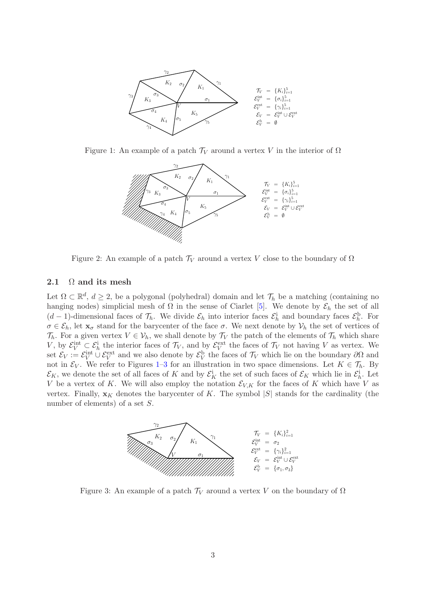

Figure 1: An example of a patch  $\mathcal{T}_V$  around a vertex V in the interior of  $\Omega$ 

<span id="page-2-0"></span>

<span id="page-2-2"></span>Figure 2: An example of a patch  $\mathcal{T}_V$  around a vertex V close to the boundary of  $\Omega$ 

### <span id="page-2-3"></span>2.1  $\Omega$  and its mesh

Let  $\Omega \subset \mathbb{R}^d$ ,  $d \geq 2$ , be a polygonal (polyhedral) domain and let  $\mathcal{T}_h$  be a matching (containing no hanging nodes) simplicial mesh of  $\Omega$  in the sense of Ciarlet [\[5\]](#page-24-2). We denote by  $\mathcal{E}_h$  the set of all  $(d-1)$ -dimensional faces of  $\mathcal{T}_h$ . We divide  $\mathcal{E}_h$  into interior faces  $\mathcal{E}_h^i$  and boundary faces  $\mathcal{E}_h^b$ . For  $\sigma \in \mathcal{E}_h$ , let  $\mathbf{x}_{\sigma}$  stand for the barycenter of the face  $\sigma$ . We next denote by  $\mathcal{V}_h$  the set of vertices of  $\mathcal{T}_h$ . For a given vertex  $V \in \mathcal{V}_h$ , we shall denote by  $\mathcal{T}_V$  the patch of the elements of  $\mathcal{T}_h$  which share V, by  $\mathcal{E}_V^{\text{int}} \subset \mathcal{E}_h^{\text{i}}$  the interior faces of  $\mathcal{T}_V$ , and by  $\mathcal{E}_V^{\text{ext}}$  the faces of  $\mathcal{T}_V$  not having V as vertex. We set  $\mathcal{E}_V := \mathcal{E}_V^{\text{int}} \cup \mathcal{E}_V^{\text{ext}}$  and we also denote by  $\mathcal{E}_V^{\text{b}}$  the faces of  $\mathcal{T}_V$  which lie on the boundary  $\partial\Omega$  and not in  $\mathcal{E}_V$ . We refer to Figures [1–](#page-2-0)[3](#page-2-1) for an illustration in two space dimensions. Let  $K \in \mathcal{T}_h$ . By  $\mathcal{E}_K$ , we denote the set of all faces of K and by  $\mathcal{E}_K^i$  the set of such faces of  $\mathcal{E}_K$  which lie in  $\mathcal{E}_h^i$ . Let V be a vertex of K. We will also employ the notation  $\mathcal{E}_{V,K}$  for the faces of K which have V as vertex. Finally,  $\mathbf{x}_K$  denotes the barycenter of K. The symbol  $|S|$  stands for the cardinality (the number of elements) of a set S.



<span id="page-2-1"></span>Figure 3: An example of a patch  $\mathcal{T}_V$  around a vertex V on the boundary of  $\Omega$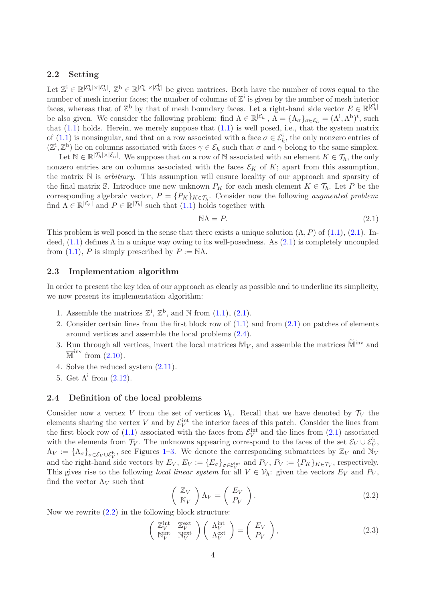### <span id="page-3-3"></span>2.2 Setting

Let  $\mathbb{Z}^i \in \mathbb{R}^{|\mathcal{E}_h^i| \times |\mathcal{E}_h^i|}, \mathbb{Z}^b \in \mathbb{R}^{|\mathcal{E}_h^i| \times |\mathcal{E}_h^b|}$  be given matrices. Both have the number of rows equal to the number of mesh interior faces; the number of columns of  $\mathbb{Z}^{\mathbf{i}}$  is given by the number of mesh interior faces, whereas that of  $\mathbb{Z}^{\mathsf{b}}$  by that of mesh boundary faces. Let a right-hand side vector  $E \in \mathbb{R}^{|\mathcal{E}_h^i|}$ be also given. We consider the following problem: find  $\Lambda \in \mathbb{R}^{|\mathcal{E}_h|}$ ,  $\Lambda = {\Lambda_{\sigma}}_{\sigma \in \mathcal{E}_h} = (\Lambda^i, \Lambda^b)^t$ , such that  $(1.1)$  holds. Herein, we merely suppose that  $(1.1)$  is well posed, i.e., that the system matrix of [\(1.1\)](#page-0-0) is nonsingular, and that on a row associated with a face  $\sigma \in \mathcal{E}_h^i$ , the only nonzero entries of  $(\mathbb{Z}^i, \mathbb{Z}^b)$  lie on columns associated with faces  $\gamma \in \mathcal{E}_h$  such that  $\sigma$  and  $\gamma$  belong to the same simplex.

Let  $\mathbb{N} \in \mathbb{R}^{|\mathcal{T}_h| \times |\mathcal{E}_h|}$ . We suppose that on a row of N associated with an element  $K \in \mathcal{T}_h$ , the only nonzero entries are on columns associated with the faces  $\mathcal{E}_K$  of K; apart from this assumption, the matrix N is *arbitrary*. This assumption will ensure locality of our approach and sparsity of the final matrix S. Introduce one new unknown  $P_K$  for each mesh element  $K \in \mathcal{T}_h$ . Let P be the corresponding algebraic vector,  $P = \{P_K\}_{K \in \mathcal{T}_h}$ . Consider now the following *augmented problem:* find  $\Lambda \in \mathbb{R}^{|\mathcal{E}_h|}$  and  $P \in \mathbb{R}^{|\mathcal{T}_h|}$  such that  $(1.1)$  holds together with

<span id="page-3-0"></span>
$$
\mathbb{N}\Lambda = P. \tag{2.1}
$$

This problem is well posed in the sense that there exists a unique solution  $(\Lambda, P)$  of  $(1.1)$ ,  $(2.1)$ . Indeed,  $(1.1)$  defines  $\Lambda$  in a unique way owing to its well-posedness. As  $(2.1)$  is completely uncoupled from [\(1.1\)](#page-0-0), P is simply prescribed by  $P := \mathbb{N}\Lambda$ .

### 2.3 Implementation algorithm

In order to present the key idea of our approach as clearly as possible and to underline its simplicity, we now present its implementation algorithm:

- 1. Assemble the matrices  $\mathbb{Z}^i$ ,  $\mathbb{Z}^b$ , and N from [\(1.1\)](#page-0-0), [\(2.1\)](#page-3-0).
- 2. Consider certain lines from the first block row of [\(1.1\)](#page-0-0) and from [\(2.1\)](#page-3-0) on patches of elements around vertices and assemble the local problems [\(2.4\)](#page-4-0).
- 3. Run through all vertices, invert the local matrices  $\mathbb{M}_V$ , and assemble the matrices  $\widetilde{\mathbb{M}}^{\text{inv}}$  and  $\overline{\mathbb{M}}^{\text{inv}}$  from  $(2.10)$ .
- 4. Solve the reduced system [\(2.11\)](#page-5-1).
- 5. Get  $\Lambda^i$  from  $(2.12)$ .

### 2.4 Definition of the local problems

Consider now a vertex V from the set of vertices  $V_h$ . Recall that we have denoted by  $\mathcal{T}_V$  the elements sharing the vertex V and by  $\mathcal{E}_V^{\text{int}}$  the interior faces of this patch. Consider the lines from the first block row of  $(1.1)$  associated with the faces from  $\mathcal{E}_V^{\text{int}}$  and the lines from  $(2.1)$  associated with the elements from  $\mathcal{T}_V$ . The unknowns appearing correspond to the faces of the set  $\mathcal{E}_V \cup \mathcal{E}_V^{\rm b}$ ,  $\Lambda_V := {\Lambda_{\sigma}}_{\sigma \in \mathcal{E}_V \cup \mathcal{E}_V^{\text{b}}}$ , see Figures [1](#page-2-0)[–3.](#page-2-1) We denote the corresponding submatrices by  $\mathbb{Z}_V$  and  $\mathbb{N}_V$ and the right-hand side vectors by  $E_V$ ,  $E_V := \{E_{\sigma}\}_{{\sigma \in \mathcal{E}_V^{\text{int}}}}$  and  $P_V$ ,  $P_V := \{P_K\}_{K \in \mathcal{T}_V}$ , respectively. This gives rise to the following *local linear system* for all  $V \in \mathcal{V}_h$ : given the vectors  $E_V$  and  $P_V$ , find the vector  $\Lambda_V$  such that

<span id="page-3-1"></span>
$$
\left(\begin{array}{c}\mathbb{Z}_V\\ \mathbb{N}_V\end{array}\right)\Lambda_V=\left(\begin{array}{c}E_V\\ P_V\end{array}\right). \tag{2.2}
$$

Now we rewrite  $(2.2)$  in the following block structure:

<span id="page-3-2"></span>
$$
\begin{pmatrix} \mathbb{Z}_V^{\text{int}} & \mathbb{Z}_V^{\text{ext}} \\ \mathbb{N}_V^{\text{int}} & \mathbb{N}_V^{\text{ext}} \end{pmatrix} \begin{pmatrix} \Lambda_V^{\text{int}} \\ \Lambda_V^{\text{ext}} \end{pmatrix} = \begin{pmatrix} E_V \\ P_V \end{pmatrix},
$$
\n(2.3)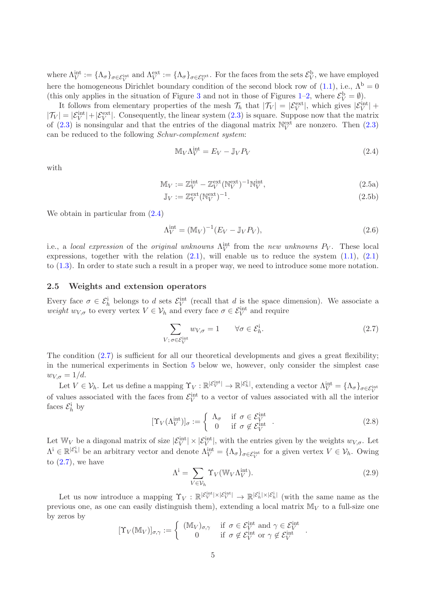where  $\Lambda_V^{\text{int}} := {\{\Lambda_{\sigma}\}}_{\sigma \in \mathcal{E}_V^{\text{int}}}$  and  $\Lambda_V^{\text{ext}} := {\{\Lambda_{\sigma}\}}_{\sigma \in \mathcal{E}_V^{\text{ext}}}$ . For the faces from the sets  $\mathcal{E}_V^{\text{b}}$ , we have employed here the homogeneous Dirichlet boundary condition of the second block row of [\(1.1\)](#page-0-0), i.e.,  $\Lambda^b = 0$ (this only applies in the situation of Figure [3](#page-2-1) and not in those of Figures [1](#page-2-0)[–2,](#page-2-2) where  $\mathcal{E}_V^{\rm b} = \emptyset$ ).

It follows from elementary properties of the mesh  $\mathcal{T}_h$  that  $|\mathcal{T}_V| = |\mathcal{E}_V^{\text{ext}}|$ , which gives  $|\mathcal{E}_V^{\text{int}}|$  +  $|\mathcal{T}_V| = |\mathcal{E}_V^{\text{int}}| + |\mathcal{E}_V^{\text{ext}}|$ . Consequently, the linear system  $(2.3)$  is square. Suppose now that the matrix of [\(2.3\)](#page-3-2) is nonsingular and that the entries of the diagonal matrix  $\mathbb{N}_V^{\text{ext}}$  are nonzero. Then (2.3) can be reduced to the following *Schur-complement system*:

<span id="page-4-3"></span><span id="page-4-2"></span><span id="page-4-0"></span>
$$
\mathbb{M}_V \Lambda_V^{\text{int}} = E_V - \mathbb{J}_V P_V \tag{2.4}
$$

with

$$
\mathbb{M}_V := \mathbb{Z}_V^{\text{int}} - \mathbb{Z}_V^{\text{ext}} (\mathbb{N}_V^{\text{ext}})^{-1} \mathbb{N}_V^{\text{int}},\tag{2.5a}
$$

$$
\mathbb{J}_V := \mathbb{Z}_V^{\text{ext}}(\mathbb{N}_V^{\text{ext}})^{-1}.\tag{2.5b}
$$

We obtain in particular from  $(2.4)$ 

<span id="page-4-4"></span>
$$
\Lambda_V^{\text{int}} = (\mathbb{M}_V)^{-1} (E_V - \mathbb{J}_V P_V), \qquad (2.6)
$$

i.e., a *local expression* of the *original unknowns*  $\Lambda_V^{\text{int}}$  from the *new unknowns*  $P_V$ . These local expressions, together with the relation  $(2.1)$ , will enable us to reduce the system  $(1.1)$ ,  $(2.1)$ to [\(1.3\)](#page-1-1). In order to state such a result in a proper way, we need to introduce some more notation.

### 2.5 Weights and extension operators

Every face  $\sigma \in \mathcal{E}_h^i$  belongs to d sets  $\mathcal{E}_V^{int}$  (recall that d is the space dimension). We associate a *weight*  $w_{V,\sigma}$  to every vertex  $V \in V_h$  and every face  $\sigma \in \mathcal{E}_V^{\text{int}}$  and require

<span id="page-4-1"></span>
$$
\sum_{V; \sigma \in \mathcal{E}_{V}^{\text{int}}} w_{V, \sigma} = 1 \qquad \forall \sigma \in \mathcal{E}_{h}^{\text{i}}.
$$
\n(2.7)

The condition  $(2.7)$  is sufficient for all our theoretical developments and gives a great flexibility; in the numerical experiments in Section [5](#page-13-0) below we, however, only consider the simplest case  $w_{V,\sigma} = 1/d.$ 

Let  $V \in \mathcal{V}_h$ . Let us define a mapping  $\Upsilon_V : \mathbb{R}^{|\mathcal{E}_V^{\text{int}}|} \to \mathbb{R}^{|\mathcal{E}_h^{\text{i}}|}$ , extending a vector  $\Lambda_V^{\text{int}} = {\Lambda_\sigma}_{\sigma \in \mathcal{E}_V^{\text{int}}}$ of values associated with the faces from  $\mathcal{E}_V^{\text{int}}$  to a vector of values associated with all the interior faces  $\mathcal{E}_h^{\text{i}}$  by

$$
[\Upsilon_V(\Lambda_V^{\text{int}})]_\sigma := \begin{cases} \Lambda_\sigma & \text{if } \sigma \in \mathcal{E}_V^{\text{int}} \\ 0 & \text{if } \sigma \notin \mathcal{E}_V^{\text{int}} \end{cases} . \tag{2.8}
$$

Let  $\mathbb{W}_V$  be a diagonal matrix of size  $|\mathcal{E}_V^{\text{int}}| \times |\mathcal{E}_V^{\text{int}}|$ , with the entries given by the weights  $w_{V,\sigma}$ . Let  $\Lambda^i \in \mathbb{R}^{|\mathcal{E}_h^i|}$  be an arbitrary vector and denote  $\Lambda_V^{\text{int}} = {\Lambda_{\sigma}}_{\sigma \in \mathcal{E}_V^{\text{int}}}$  for a given vertex  $V \in \mathcal{V}_h$ . Owing to  $(2.7)$ , we have

<span id="page-4-5"></span>
$$
\Lambda^i = \sum_{V \in \mathcal{V}_h} \Upsilon_V(\mathbb{W}_V \Lambda_V^{\text{int}}). \tag{2.9}
$$

.

Let us now introduce a mapping  $\Upsilon_V : \mathbb{R}^{|\mathcal{E}_V^{\text{int}}| \times |\mathcal{E}_V^{\text{int}}|} \to \mathbb{R}^{|\mathcal{E}_h^{\text{i}}| \times |\mathcal{E}_h^{\text{i}}|}$  (with the same name as the previous one, as one can easily distinguish them), extending a local matrix  $M_V$  to a full-size one by zeros by

$$
[\Upsilon_V(\mathbb{M}_V)]_{\sigma,\gamma} := \begin{cases} (\mathbb{M}_V)_{\sigma,\gamma} & \text{if } \sigma \in \mathcal{E}_V^{\text{int}} \text{ and } \gamma \in \mathcal{E}_V^{\text{int}} \\ 0 & \text{if } \sigma \notin \mathcal{E}_V^{\text{int}} \text{ or } \gamma \notin \mathcal{E}_V^{\text{int}} \end{cases}
$$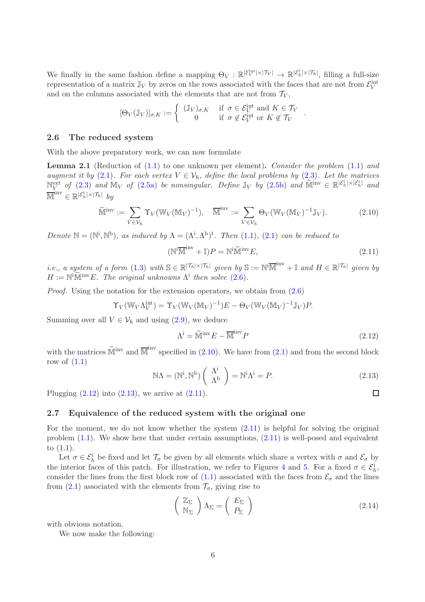We finally in the same fashion define a mapping  $\Theta_V : \mathbb{R}^{|\mathcal{E}_V^{\text{int}}| \times |\mathcal{T}_V|} \to \mathbb{R}^{|\mathcal{E}_h^{\text{i}}| \times |\mathcal{T}_h|}$ , filling a full-size representation of a matrix  $\mathbb{J}_V$  by zeros on the rows associated with the faces that are not from  $\mathcal{E}_V^{\text{int}}$ and on the columns associated with the elements that are not from  $\mathcal{T}_V$ ,

$$
[\Theta_V(\mathbb{J}_V)]_{\sigma,K} := \left\{ \begin{array}{ll} (\mathbb{J}_V)_{\sigma,K} & \text{if } \sigma \in \mathcal{E}_V^{\text{int}} \text{ and } K \in \mathcal{T}_V \\ 0 & \text{if } \sigma \notin \mathcal{E}_V^{\text{int}} \text{ or } K \notin \mathcal{T}_V \end{array} \right. .
$$

### <span id="page-5-6"></span>2.6 The reduced system

With the above preparatory work, we can now formulate

<span id="page-5-5"></span>Lemma 2.1 (Reduction of [\(1.1\)](#page-0-0) to one unknown per element). *Consider the problem* [\(1.1\)](#page-0-0) *and augment it by* [\(2.1\)](#page-3-0)*. For each vertex*  $V \in V_h$ *, define the local problems by* [\(2.3\)](#page-3-2)*. Let the matrices*  $N_V^{\text{ext}}$  *of* [\(2.3\)](#page-3-2) *and*  $M_V$  *of* [\(2.5a\)](#page-4-2) *be nonsingular. Define*  $\mathbb{J}_V$  *by* [\(2.5b\)](#page-4-3) *and*  $\widetilde{M}^{\text{inv}} \in \mathbb{R}^{|\mathcal{E}_h^i| \times |\mathcal{E}_h^i|}$  *and*  $\overline{\mathbb{M}}^{\mathrm{inv}}\in\mathbb{R}^{|\mathcal{E}_h^{\mathrm{i}}|\times|\mathcal{T}_h|}$  by

<span id="page-5-0"></span>
$$
\widetilde{\mathbb{M}}^{\text{inv}} := \sum_{V \in \mathcal{V}_h} \Upsilon_V(\mathbb{W}_V(\mathbb{M}_V)^{-1}), \quad \overline{\mathbb{M}}^{\text{inv}} := \sum_{V \in \mathcal{V}_h} \Theta_V(\mathbb{W}_V(\mathbb{M}_V)^{-1} \mathbb{J}_V). \tag{2.10}
$$

*Denote*  $\mathbb{N} = (\mathbb{N}^i, \mathbb{N}^b)$ *, as induced by*  $\Lambda = (\Lambda^i, \Lambda^b)^t$ *. Then* [\(1.1\)](#page-0-0)*,* (2.1*) can be reduced to* 

<span id="page-5-1"></span>
$$
(\mathbb{N}^{\mathbf{i}\overline{\mathbb{M}}^{\mathbf{inv}}} + \mathbb{I})P = \mathbb{N}^{\mathbf{i}\widetilde{\mathbb{M}}^{\mathbf{inv}}}E,\tag{2.11}
$$

*i.e., a system of a form* [\(1.3\)](#page-1-1) *with*  $S \in \mathbb{R}^{|\mathcal{T}_h| \times |\mathcal{T}_h|}$  *given by*  $S := \mathbb{N}^i \overline{\mathbb{M}}^{inv} + \mathbb{I}$  *and*  $H \in \mathbb{R}^{|\mathcal{T}_h|}$  *given by*  $H := \mathbb{N}^{\mathbf{i}}\widetilde{\mathbb{M}}^{\text{inv}}E$ *. The original unknowns*  $\Lambda^{\mathbf{i}}$  then solve [\(2.6\)](#page-4-4).

*Proof.* Using the notation for the extension operators, we obtain from  $(2.6)$ 

$$
\Upsilon_V(\mathbb{W}_V\Lambda_V^{\text{int}}) = \Upsilon_V(\mathbb{W}_V(\mathbb{M}_V)^{-1})E - \Theta_V(\mathbb{W}_V(\mathbb{M}_V)^{-1}\mathbb{J}_V)P.
$$

Summing over all  $V \in \mathcal{V}_h$  and using [\(2.9\)](#page-4-5), we deduce

<span id="page-5-2"></span>
$$
\Lambda^{\mathbf{i}} = \widetilde{\mathbb{M}}^{\text{inv}} E - \overline{\mathbb{M}}^{\text{inv}} P \tag{2.12}
$$

with the matrices  $\widetilde{M}^{\text{inv}}$  and  $\overline{M}^{\text{inv}}$  specified in [\(2.10\)](#page-5-0). We have from [\(2.1\)](#page-3-0) and from the second block row of  $(1.1)$ 

<span id="page-5-3"></span>
$$
\mathbb{N}\Lambda = (\mathbb{N}^i, \mathbb{N}^b) \left(\begin{array}{c} \Lambda^i \\ \Lambda^b \end{array}\right) = \mathbb{N}^i \Lambda^i = P. \tag{2.13}
$$

Plugging  $(2.12)$  into  $(2.13)$ , we arrive at  $(2.11)$ .

### <span id="page-5-7"></span>2.7 Equivalence of the reduced system with the original one

For the moment, we do not know whether the system  $(2.11)$  is helpful for solving the original problem  $(1.1)$ . We show here that under certain assumptions,  $(2.11)$  is well-posed and equivalent to [\(1.1\)](#page-0-0).

Let  $\sigma \in \mathcal{E}_h^i$  be fixed and let  $\mathcal{T}_{\sigma}$  be given by all elements which share a vertex with  $\sigma$  and  $\mathcal{E}_{\sigma}$  by the interior faces of this patch. For illustration, we refer to Figures [4](#page-6-1) and [5.](#page-6-2) For a fixed  $\sigma \in \mathcal{E}_h^i$ , consider the lines from the first block row of [\(1.1\)](#page-0-0) associated with the faces from  $\mathcal{E}_{\sigma}$  and the lines from  $(2.1)$  associated with the elements from  $\mathcal{T}_{\sigma}$ , giving rise to

<span id="page-5-4"></span>
$$
\left(\begin{array}{c}\mathbb{Z}_{\Sigma}\\ \mathbb{N}_{\Sigma}\end{array}\right)\Lambda_{\Sigma}=\left(\begin{array}{c}E_{\Sigma}\\ P_{\Sigma}\end{array}\right)
$$
\n(2.14)

with obvious notation.

We now make the following:

 $\Box$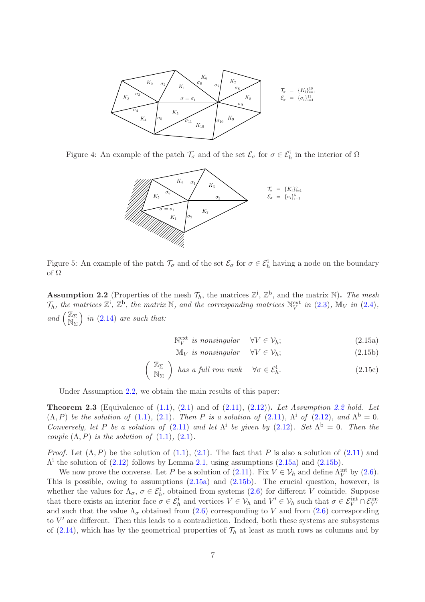

Figure 4: An example of the patch  $\mathcal{T}_{\sigma}$  and of the set  $\mathcal{E}_{\sigma}$  for  $\sigma \in \mathcal{E}_h^i$  in the interior of  $\Omega$ 

<span id="page-6-1"></span>

<span id="page-6-2"></span>Figure 5: An example of the patch  $\mathcal{T}_{\sigma}$  and of the set  $\mathcal{E}_{\sigma}$  for  $\sigma \in \mathcal{E}_h^i$  having a node on the boundary of Ω

<span id="page-6-0"></span>**Assumption 2.2** (Properties of the mesh  $\mathcal{T}_h$ , the matrices  $\mathbb{Z}^i$ ,  $\mathbb{Z}^b$ , and the matrix  $\mathbb{N}$ ). The mesh  $\mathcal{T}_h$ *, the matrices*  $\mathbb{Z}^i$ *,*  $\mathbb{Z}^b$ *, the matrix* N*, and the corresponding matrices*  $\mathbb{N}_V^{\text{ext}}$  *in* [\(2.3\)](#page-3-2)*,*  $\mathbb{M}_V$  *in* [\(2.4\)](#page-4-0)*, and*  $\left(\frac{\mathbb{Z}_{\Sigma}}{N}\right)$  $\mathbb{N}_{\Sigma}^{-}$ *in* [\(2.14\)](#page-5-4) *are such that:*

$$
\mathbb{N}_V^{\text{ext}} \text{ is nonsingular} \quad \forall V \in \mathcal{V}_h; \tag{2.15a}
$$

<span id="page-6-5"></span><span id="page-6-4"></span><span id="page-6-3"></span>
$$
\mathbb{M}_V \text{ is nonsingular} \quad \forall V \in \mathcal{V}_h; \tag{2.15b}
$$

$$
\left(\begin{array}{c}\mathbb{Z}_{\Sigma}\\ \mathbb{N}_{\Sigma}\end{array}\right) \text{ has a full row rank } \forall \sigma \in \mathcal{E}_h^i. \tag{2.15c}
$$

Under Assumption [2.2,](#page-6-0) we obtain the main results of this paper:

<span id="page-6-6"></span>Theorem 2.3 (Equivalence of [\(1.1\)](#page-0-0), [\(2.1\)](#page-3-0) and of [\(2.11\)](#page-5-1), [\(2.12\)](#page-5-2)). *Let Assumption [2.2](#page-6-0) hold. Let*  $(\Lambda, P)$  *be the solution of*  $(1.1)$ ,  $(2.1)$ *. Then P is a solution of*  $(2.11)$ *,*  $\Lambda$ <sup>*i*</sup> *of*  $(2.12)$ *, and*  $\Lambda$ <sup>*b*</sup> = 0*. Conversely, let* P *be a solution of* [\(2.11\)](#page-5-1) *and let*  $\Lambda$ <sup>*i*</sup> *be given by* [\(2.12\)](#page-5-2)*. Set*  $\Lambda$ <sup>*b*</sup> = 0*. Then the couple*  $(\Lambda, P)$  *is the solution of*  $(1.1)$ *,*  $(2.1)$ *.* 

*Proof.* Let  $(\Lambda, P)$  be the solution of  $(1.1), (2.1)$  $(1.1), (2.1)$ . The fact that P is also a solution of  $(2.11)$  and  $\Lambda^i$  the solution of [\(2.12\)](#page-5-2) follows by Lemma [2.1,](#page-5-5) using assumptions [\(2.15a\)](#page-6-3) and [\(2.15b\)](#page-6-4).

We now prove the converse. Let P be a solution of [\(2.11\)](#page-5-1). Fix  $V \in V_h$  and define  $\Lambda_V^{\text{int}}$  by [\(2.6\)](#page-4-4). This is possible, owing to assumptions  $(2.15a)$  and  $(2.15b)$ . The crucial question, however, is whether the values for  $\Lambda_{\sigma}$ ,  $\sigma \in \mathcal{E}_h^i$ , obtained from systems [\(2.6\)](#page-4-4) for different V coincide. Suppose that there exists an interior face  $\sigma \in \mathcal{E}_h^{\text{i}}$  and vertices  $V \in \mathcal{V}_h$  and  $V' \in \mathcal{V}_h$  such that  $\sigma \in \mathcal{E}_V^{\text{int}} \cap \mathcal{E}_{V'}^{\text{int}}$ and such that the value  $\Lambda_{\sigma}$  obtained from [\(2.6\)](#page-4-4) corresponding to V and from (2.6) corresponding to  $V'$  are different. Then this leads to a contradiction. Indeed, both these systems are subsystems of [\(2.14\)](#page-5-4), which has by the geometrical properties of  $\mathcal{T}_h$  at least as much rows as columns and by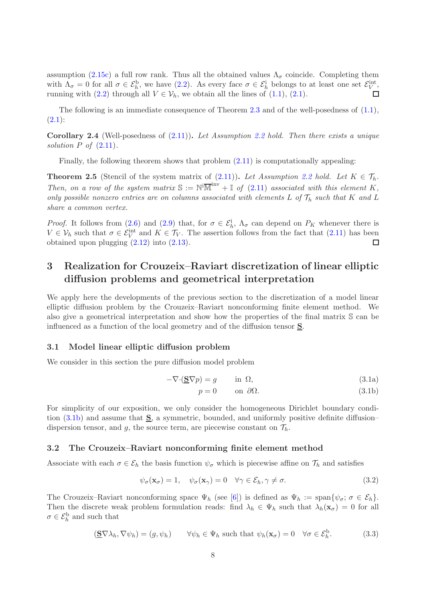assumption [\(2.15c\)](#page-6-5) a full row rank. Thus all the obtained values  $\Lambda_{\sigma}$  coincide. Completing them with  $\Lambda_{\sigma} = 0$  for all  $\sigma \in \mathcal{E}_h^{\text{b}}$ , we have  $(2.2)$ . As every face  $\sigma \in \mathcal{E}_h^{\text{i}}$  belongs to at least one set  $\mathcal{E}_V^{\text{int}}$ , running with [\(2.2\)](#page-3-1) through all  $V \in \mathcal{V}_h$ , we obtain all the lines of [\(1.1\)](#page-0-0), [\(2.1\)](#page-3-0).  $\Box$ 

The following is an immediate consequence of Theorem [2.3](#page-6-6) and of the well-posedness of  $(1.1)$ ,  $(2.1):$  $(2.1):$ 

<span id="page-7-6"></span>Corollary 2.4 (Well-posedness of [\(2.11\)](#page-5-1)). *Let Assumption [2.2](#page-6-0) hold. Then there exists a unique solution* P *of* [\(2.11\)](#page-5-1)*.*

Finally, the following theorem shows that problem  $(2.11)$  is computationally appealing:

<span id="page-7-4"></span>**Theorem 2.5** (Stencil of the system matrix of  $(2.11)$ ). Let Assumption [2.2](#page-6-0) hold. Let  $K \in \mathcal{T}_h$ . *Then, on a row of the system matrix*  $\mathbb{S} := \mathbb{N}^{\mathbb{I}} \overline{\mathbb{M}}^{\mathbb{I}^{\mathbb{N}}} + \mathbb{I}$  of [\(2.11\)](#page-5-1) associated with this element K, *only possible nonzero entries are on columns associated with elements* L of  $\mathcal{T}_h$  *such that* K *and* L *share a common vertex.*

*Proof.* It follows from [\(2.6\)](#page-4-4) and [\(2.9\)](#page-4-5) that, for  $\sigma \in \mathcal{E}_h^i$ ,  $\Lambda_{\sigma}$  can depend on  $P_K$  whenever there is  $V \in \mathcal{V}_h$  such that  $\sigma \in \mathcal{E}_V^{\text{int}}$  and  $K \in \mathcal{T}_V$ . The assertion follows from the fact that  $(2.11)$  has been obtained upon plugging [\(2.12\)](#page-5-2) into [\(2.13\)](#page-5-3).  $\Box$ 

# <span id="page-7-0"></span>3 Realization for Crouzeix–Raviart discretization of linear elliptic diffusion problems and geometrical interpretation

We apply here the developments of the previous section to the discretization of a model linear elliptic diffusion problem by the Crouzeix–Raviart nonconforming finite element method. We also give a geometrical interpretation and show how the properties of the final matrix S can be influenced as a function of the local geometry and of the diffusion tensor S.

### 3.1 Model linear elliptic diffusion problem

We consider in this section the pure diffusion model problem

$$
-\nabla \cdot (\underline{\mathbf{S}} \nabla p) = g \qquad \text{in } \Omega,
$$
\n(3.1a)

<span id="page-7-5"></span><span id="page-7-1"></span>
$$
p = 0 \qquad \text{on } \partial\Omega. \tag{3.1b}
$$

For simplicity of our exposition, we only consider the homogeneous Dirichlet boundary condition  $(3.1b)$  and assume that  $S$ , a symmetric, bounded, and uniformly positive definite diffusion– dispersion tensor, and g, the source term, are piecewise constant on  $\mathcal{T}_h$ .

### 3.2 The Crouzeix–Raviart nonconforming finite element method

Associate with each  $\sigma \in \mathcal{E}_h$  the basis function  $\psi_{\sigma}$  which is piecewise affine on  $\mathcal{T}_h$  and satisfies

<span id="page-7-2"></span>
$$
\psi_{\sigma}(\mathbf{x}_{\sigma}) = 1, \quad \psi_{\sigma}(\mathbf{x}_{\gamma}) = 0 \quad \forall \gamma \in \mathcal{E}_h, \gamma \neq \sigma. \tag{3.2}
$$

The Crouzeix–Raviart nonconforming space  $\Psi_h$  (see [\[6\]](#page-25-0)) is defined as  $\Psi_h := \text{span}\{\psi_{\sigma}; \sigma \in \mathcal{E}_h\}.$ Then the discrete weak problem formulation reads: find  $\lambda_h \in \Psi_h$  such that  $\lambda_h(\mathbf{x}_{\sigma}) = 0$  for all  $\sigma \in \mathcal{E}_h^{\rm b}$  and such that

<span id="page-7-3"></span>
$$
(\underline{\mathbf{S}}\nabla\lambda_h, \nabla\psi_h) = (g, \psi_h) \qquad \forall \psi_h \in \Psi_h \text{ such that } \psi_h(\mathbf{x}_\sigma) = 0 \quad \forall \sigma \in \mathcal{E}_h^{\text{b}}.
$$
 (3.3)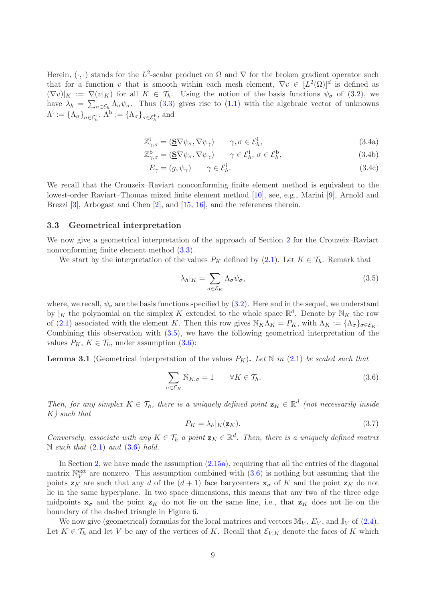<span id="page-8-3"></span>Herein,  $(\cdot, \cdot)$  stands for the L<sup>2</sup>-scalar product on  $\Omega$  and  $\nabla$  for the broken gradient operator such that for a function v that is smooth within each mesh element,  $\nabla v \in [L^2(\Omega)]^d$  is defined as  $(\nabla v)|_K := \nabla (v|_K)$  for all  $K \in \mathcal{T}_h$ . Using the notion of the basis functions  $\psi_{\sigma}$  of [\(3.2\)](#page-7-2), we have  $\lambda_h = \sum_{\sigma \in \mathcal{E}_h} \Lambda_{\sigma} \psi_{\sigma}$ . Thus [\(3.3\)](#page-7-3) gives rise to [\(1.1\)](#page-0-0) with the algebraic vector of unknowns  $\Lambda^i := {\{\Lambda_{\sigma}\}}_{\sigma \in \mathcal{E}_h^i}, \Lambda^b := {\{\Lambda_{\sigma}\}}_{\sigma \in \mathcal{E}_h^b}, \text{ and}$ 

$$
\mathbb{Z}^i_{\gamma,\sigma} = (\underline{\mathbf{S}} \nabla \psi_{\sigma}, \nabla \psi_{\gamma}) \qquad \gamma, \sigma \in \mathcal{E}^i_h,
$$
\n(3.4a)

$$
\mathbb{Z}_{\gamma,\sigma}^{\mathbf{b}} = (\underline{\mathbf{S}} \nabla \psi_{\sigma}, \nabla \psi_{\gamma}) \qquad \gamma \in \mathcal{E}_h^{\mathbf{i}}, \ \sigma \in \mathcal{E}_h^{\mathbf{b}}, \tag{3.4b}
$$

<span id="page-8-6"></span><span id="page-8-5"></span>
$$
E_{\gamma} = (g, \psi_{\gamma}) \qquad \gamma \in \mathcal{E}_h^{\mathbf{i}}.\tag{3.4c}
$$

We recall that the Crouzeix–Raviart nonconforming finite element method is equivalent to the lowest-order Raviart–Thomas mixed finite element method [\[10\]](#page-25-1), see, e.g., Marini [\[9\]](#page-25-6), Arnold and Brezzi [\[3\]](#page-24-0), Arbogast and Chen [\[2\]](#page-24-3), and [\[15,](#page-25-7) [16\]](#page-25-5), and the references therein.

### <span id="page-8-4"></span>3.3 Geometrical interpretation

We now give a geometrical interpretation of the approach of Section [2](#page-1-0) for the Crouzeix–Raviart nonconforming finite element method [\(3.3\)](#page-7-3).

We start by the interpretation of the values  $P_K$  defined by [\(2.1\)](#page-3-0). Let  $K \in \mathcal{T}_h$ . Remark that

<span id="page-8-0"></span>
$$
\lambda_h|_K = \sum_{\sigma \in \mathcal{E}_K} \Lambda_\sigma \psi_\sigma,\tag{3.5}
$$

where, we recall,  $\psi_{\sigma}$  are the basis functions specified by [\(3.2\)](#page-7-2). Here and in the sequel, we understand by |<sub>K</sub> the polynomial on the simplex K extended to the whole space  $\mathbb{R}^d$ . Denote by  $\mathbb{N}_K$  the row of [\(2.1\)](#page-3-0) associated with the element K. Then this row gives  $\mathbb{N}_K \Lambda_K = P_K$ , with  $\Lambda_K := {\Lambda_{\sigma}}_{\sigma \in \mathcal{E}_K}$ . Combining this observation with  $(3.5)$ , we have the following geometrical interpretation of the values  $P_K$ ,  $K \in \mathcal{T}_h$ , under assumption [\(3.6\)](#page-8-1):

**Lemma 3.1** (Geometrical interpretation of the values  $P_K$ ). Let N in [\(2.1\)](#page-3-0) be scaled such that

<span id="page-8-1"></span>
$$
\sum_{\sigma \in \mathcal{E}_K} \mathbb{N}_{K,\sigma} = 1 \qquad \forall K \in \mathcal{T}_h. \tag{3.6}
$$

*Then, for any simplex*  $K \in \mathcal{T}_h$ *, there is a uniquely defined point*  $\mathbf{z}_K \in \mathbb{R}^d$  (not necessarily inside K*) such that*

<span id="page-8-2"></span>
$$
P_K = \lambda_h |_K(\mathbf{z}_K). \tag{3.7}
$$

*Conversely, associate with any*  $K \in \mathcal{T}_h$  *a point*  $\mathbf{z}_K \in \mathbb{R}^d$ *. Then, there is a uniquely defined matrix* N *such that* [\(2.1\)](#page-3-0) *and* [\(3.6\)](#page-8-1) *hold.*

In Section [2,](#page-1-0) we have made the assumption [\(2.15a\)](#page-6-3), requiring that all the entries of the diagonal matrix  $\mathbb{N}_V^{\text{ext}}$  are nonzero. This assumption combined with  $(3.6)$  is nothing but assuming that the points  $z_K$  are such that any d of the  $(d+1)$  face barycenters  $x_{\sigma}$  of K and the point  $z_K$  do not lie in the same hyperplane. In two space dimensions, this means that any two of the three edge midpoints  $x_{\sigma}$  and the point  $z_{K}$  do not lie on the same line, i.e., that  $z_{K}$  does not lie on the boundary of the dashed triangle in Figure [6.](#page-9-0)

We now give (geometrical) formulas for the local matrices and vectors  $\mathbb{M}_V$ ,  $E_V$ , and  $\mathbb{J}_V$  of [\(2.4\)](#page-4-0). Let  $K \in \mathcal{T}_h$  and let V be any of the vertices of K. Recall that  $\mathcal{E}_{V,K}$  denote the faces of K which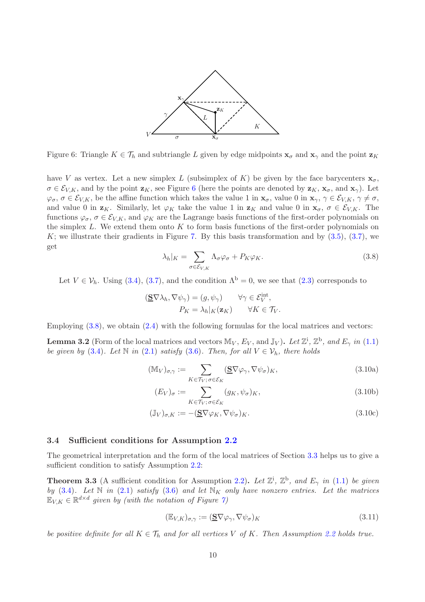

<span id="page-9-0"></span>Figure 6: Triangle  $K \in \mathcal{T}_h$  and subtriangle L given by edge midpoints  $\mathbf{x}_{\sigma}$  and  $\mathbf{x}_{\gamma}$  and the point  $\mathbf{z}_K$ 

have V as vertex. Let a new simplex L (subsimplex of K) be given by the face barycenters  $\mathbf{x}_{\sigma}$ ,  $\sigma \in \mathcal{E}_{V,K}$ , and by the point  $\mathbf{z}_K$ , see Figure [6](#page-9-0) (here the points are denoted by  $\mathbf{z}_K$ ,  $\mathbf{x}_\sigma$ , and  $\mathbf{x}_\gamma$ ). Let  $\varphi_{\sigma}, \sigma \in \mathcal{E}_{V,K}$ , be the affine function which takes the value 1 in  $\mathbf{x}_{\sigma}$ , value 0 in  $\mathbf{x}_{\gamma}, \gamma \in \mathcal{E}_{V,K}, \gamma \neq \sigma$ , and value 0 in  $z_K$ . Similarly, let  $\varphi_K$  take the value 1 in  $z_K$  and value 0 in  $x_{\sigma}$ ,  $\sigma \in \mathcal{E}_{V,K}$ . The functions  $\varphi_{\sigma}, \sigma \in \mathcal{E}_{V,K}$ , and  $\varphi_K$  are the Lagrange basis functions of the first-order polynomials on the simplex  $L$ . We extend them onto  $K$  to form basis functions of the first-order polynomials on K; we illustrate their gradients in Figure [7.](#page-10-0) By this basis transformation and by  $(3.5)$ ,  $(3.7)$ , we get

<span id="page-9-1"></span>
$$
\lambda_h|_K = \sum_{\sigma \in \mathcal{E}_{V,K}} \Lambda_{\sigma} \varphi_{\sigma} + P_K \varphi_K. \tag{3.8}
$$

Let  $V \in \mathcal{V}_h$ . Using [\(3.4\)](#page-8-3), [\(3.7\)](#page-8-2), and the condition  $\Lambda^b = 0$ , we see that [\(2.3\)](#page-3-2) corresponds to

$$
(\underline{\mathbf{S}}\nabla\lambda_h, \nabla\psi_\gamma) = (g, \psi_\gamma) \qquad \forall \gamma \in \mathcal{E}_V^{\text{int}},
$$

$$
P_K = \lambda_h|_K(\mathbf{z}_K) \qquad \forall K \in \mathcal{T}_V.
$$

Employing  $(3.8)$ , we obtain  $(2.4)$  with the following formulas for the local matrices and vectors:

**Lemma 3.2** (Form of the local matrices and vectors  $\mathbb{M}_V$ ,  $E_V$ , and  $\mathbb{J}_V$ ). Let  $\mathbb{Z}^i$ ,  $\mathbb{Z}^b$ , and  $E_\gamma$  in [\(1.1\)](#page-0-0) *be given by* [\(3.4\)](#page-8-3)*.* Let  $\mathbb N$  *in* [\(2.1\)](#page-3-0) *satisfy* [\(3.6\)](#page-8-1)*. Then, for all*  $V \in \mathcal V_h$ *, there holds* 

$$
(\mathbb{M}_{V})_{\sigma,\gamma} := \sum_{K \in \mathcal{T}_{V}; \sigma \in \mathcal{E}_{K}} (\underline{\mathbf{S}} \nabla \varphi_{\gamma}, \nabla \psi_{\sigma})_{K},
$$
\n(3.10a)

<span id="page-9-2"></span>
$$
(E_V)_{\sigma} := \sum_{K \in \mathcal{T}_V; \sigma \in \mathcal{E}_K} (g_K, \psi_{\sigma})_K, \tag{3.10b}
$$

$$
(\mathbb{J}_V)_{\sigma,K} := -(\underline{\mathbf{S}} \nabla \varphi_K, \nabla \psi_\sigma)_K. \tag{3.10c}
$$

### 3.4 Sufficient conditions for Assumption [2.2](#page-6-0)

The geometrical interpretation and the form of the local matrices of Section [3.3](#page-8-4) helps us to give a sufficient condition to satisfy Assumption [2.2:](#page-6-0)

<span id="page-9-3"></span>**Theorem 3.3** (A sufficient condition for Assumption [2.2\)](#page-6-0). Let  $\mathbb{Z}^i$ ,  $\mathbb{Z}^b$ , and  $E_\gamma$  in [\(1.1\)](#page-0-0) be given *by* [\(3.4\)](#page-8-3). Let  $\mathbb N$  *in* [\(2.1\)](#page-3-0) *satisfy* [\(3.6\)](#page-8-1) *and let*  $\mathbb N_K$  *only have nonzero entries. Let the matrices*  $\mathbb{E}_{V,K} \in \mathbb{R}^{d \times d}$  given by (with the notation of Figure [7\)](#page-10-0)

<span id="page-9-4"></span>
$$
(\mathbb{E}_{V,K})_{\sigma,\gamma} := (\underline{\mathbf{S}} \nabla \varphi_{\gamma}, \nabla \psi_{\sigma})_K
$$
\n(3.11)

*be positive definite for all*  $K \in \mathcal{T}_h$  *and for all vertices* V *of* K. Then Assumption [2.2](#page-6-0) holds true.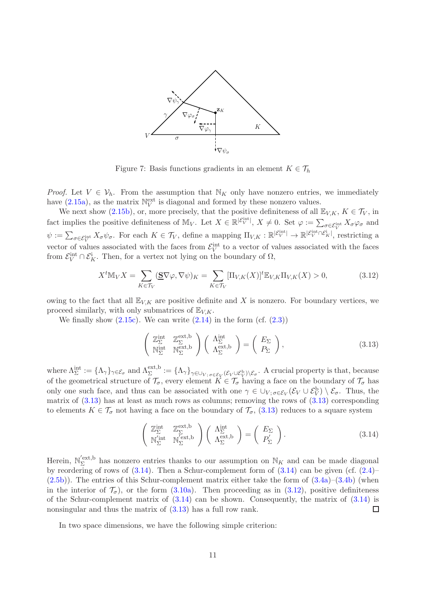

<span id="page-10-0"></span>Figure 7: Basis functions gradients in an element  $K \in \mathcal{T}_h$ 

*Proof.* Let  $V \in V_h$ . From the assumption that  $\mathbb{N}_K$  only have nonzero entries, we immediately have  $(2.15a)$ , as the matrix  $\mathbb{N}_V^{\text{ext}}$  is diagonal and formed by these nonzero values.

We next show [\(2.15b\)](#page-6-4), or, more precisely, that the positive definiteness of all  $\mathbb{E}_{V,K}$ ,  $K \in \mathcal{T}_V$ , in fact implies the positive definiteness of  $\mathbb{M}_V$ . Let  $X \in \mathbb{R}^{|\mathcal{E}_V^{\text{int}}|}$ ,  $X \neq 0$ . Set  $\varphi := \sum_{\sigma \in \mathcal{E}_V^{\text{int}}} X_{\sigma} \varphi_{\sigma}$  and  $\psi := \sum_{\sigma \in \mathcal{E}_V^{\text{int}}} X_{\sigma} \psi_{\sigma}$ . For each  $K \in \mathcal{T}_V$ , define a mapping  $\Pi_{V,K} : \mathbb{R}^{|\mathcal{E}_V^{\text{int}}|} \to \mathbb{R}^{|\mathcal{E}_V^{\text{int}} \cap \mathcal{E}_K|}$ , restricting a vector of values associated with the faces from  $\mathcal{E}_V^{\text{int}}$  to a vector of values associated with the faces from  $\mathcal{E}_V^{\text{int}} \cap \mathcal{E}_K^{\text{i}}$ . Then, for a vertex not lying on the boundary of  $\Omega$ ,

<span id="page-10-3"></span>
$$
X^{t}\mathbb{M}_{V}X = \sum_{K\in\mathcal{T}_{V}} (\mathbf{S}\nabla\varphi, \nabla\psi)_{K} = \sum_{K\in\mathcal{T}_{V}} [\Pi_{V,K}(X)]^{t} \mathbb{E}_{V,K}\Pi_{V,K}(X) > 0,
$$
\n(3.12)

owing to the fact that all  $\mathbb{E}_{V,K}$  are positive definite and X is nonzero. For boundary vertices, we proceed similarly, with only submatrices of  $\mathbb{E}_{V,K}$ .

We finally show  $(2.15c)$ . We can write  $(2.14)$  in the form  $(cf. (2.3))$  $(cf. (2.3))$  $(cf. (2.3))$ 

<span id="page-10-1"></span>
$$
\begin{pmatrix} \mathbb{Z}_{\Sigma}^{\text{int}} & \mathbb{Z}_{\Sigma}^{\text{ext,b}} \\ \mathbb{N}_{\Sigma}^{\text{int}} & \mathbb{N}_{\Sigma}^{\text{ext,b}} \end{pmatrix} \begin{pmatrix} \Lambda_{\Sigma}^{\text{int}} \\ \Lambda_{\Sigma}^{\text{ext,b}} \end{pmatrix} = \begin{pmatrix} E_{\Sigma} \\ P_{\Sigma} \end{pmatrix},
$$
\n(3.13)

where  $\Lambda_{\Sigma}^{\text{int}} := {\{\Lambda_{\gamma}\}}_{\gamma \in \mathcal{E}_{\sigma}}$  and  $\Lambda_{\Sigma}^{\text{ext},b} := {\{\Lambda_{\gamma}\}}_{\gamma \in \cup_{V; \sigma \in \mathcal{E}_{V}} (\mathcal{E}_{V} \cup \mathcal{E}_{V}^{b}) \setminus \mathcal{E}_{\sigma}}$ . A crucial property is that, because of the geometrical structure of  $\mathcal{T}_{\sigma}$ , every element  $K \in \mathcal{T}_{\sigma}$  having a face on the boundary of  $\mathcal{T}_{\sigma}$  has only one such face, and thus can be associated with one  $\gamma \in \bigcup_{V; \sigma \in \mathcal{E}_V} (\mathcal{E}_V \cup \mathcal{E}_V^{\text{b}}) \setminus \mathcal{E}_{\sigma}$ . Thus, the matrix of  $(3.13)$  has at least as much rows as columns; removing the rows of  $(3.13)$  corresponding to elements  $K \in \mathcal{T}_{\sigma}$  not having a face on the boundary of  $\mathcal{T}_{\sigma}$ , [\(3.13\)](#page-10-1) reduces to a square system

<span id="page-10-2"></span>
$$
\begin{pmatrix} \mathbb{Z}_{\Sigma}^{\text{int}} & \mathbb{Z}_{\Sigma}^{\text{ext,b}} \\ \mathbb{N}_{\Sigma}^{\prime \text{int}} & \mathbb{N}_{\Sigma}^{\prime \text{ext,b}} \end{pmatrix} \begin{pmatrix} \Lambda_{\Sigma}^{\text{int}} \\ \Lambda_{\Sigma}^{\text{ext,b}} \end{pmatrix} = \begin{pmatrix} E_{\Sigma} \\ P_{\Sigma}^{\prime} \end{pmatrix}.
$$
 (3.14)

Herein,  $\mathbb{N}_{\Sigma}^{'\text{ext},b}$ <sup>'ext,b</sup> has nonzero entries thanks to our assumption on  $\mathbb{N}_K$  and can be made diagonal by reordering of rows of  $(3.14)$ . Then a Schur-complement form of  $(3.14)$  can be given (cf.  $(2.4)$ –  $(2.5b)$ ). The entries of this Schur-complement matrix either take the form of  $(3.4a)$ – $(3.4b)$  (when in the interior of  $\mathcal{T}_{\sigma}$ , or the form [\(3.10a\)](#page-9-2). Then proceeding as in [\(3.12\)](#page-10-3), positive definiteness of the Schur-complement matrix of  $(3.14)$  can be shown. Consequently, the matrix of  $(3.14)$  is nonsingular and thus the matrix of  $(3.13)$  has a full row rank.  $\Box$ 

In two space dimensions, we have the following simple criterion: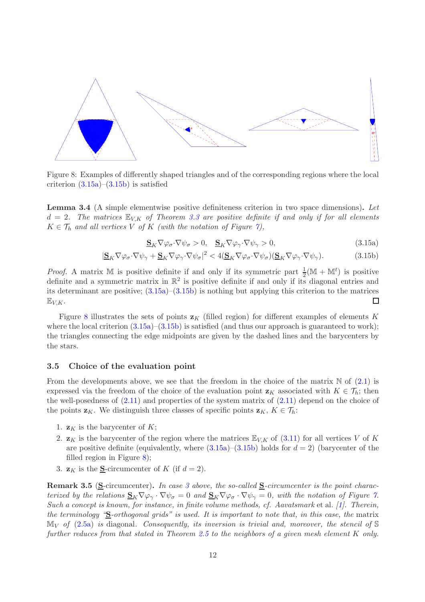

<span id="page-11-2"></span>Figure 8: Examples of differently shaped triangles and of the corresponding regions where the local criterion  $(3.15a)$ – $(3.15b)$  is satisfied

Lemma 3.4 (A simple elementwise positive definiteness criterion in two space dimensions). *Let*  $d = 2$ . The matrices  $\mathbb{E}_{V,K}$  of Theorem [3.3](#page-9-3) are positive definite if and only if for all elements  $K \in \mathcal{T}_h$  *and all vertices* V *of* K *(with the notation of Figure [7\)](#page-10-0)*,

<span id="page-11-1"></span><span id="page-11-0"></span>
$$
\mathbf{S}_K \nabla \varphi_\sigma \cdot \nabla \psi_\sigma > 0, \quad \mathbf{S}_K \nabla \varphi_\gamma \cdot \nabla \psi_\gamma > 0,\tag{3.15a}
$$

$$
|\underline{\mathbf{S}}_K \nabla \varphi_\sigma \cdot \nabla \psi_\gamma + \underline{\mathbf{S}}_K \nabla \varphi_\gamma \cdot \nabla \psi_\sigma|^2 < 4(\underline{\mathbf{S}}_K \nabla \varphi_\sigma \cdot \nabla \psi_\sigma)(\underline{\mathbf{S}}_K \nabla \varphi_\gamma \cdot \nabla \psi_\gamma). \tag{3.15b}
$$

*Proof.* A matrix M is positive definite if and only if its symmetric part  $\frac{1}{2}(\mathbb{M} + \mathbb{M}^t)$  is positive definite and a symmetric matrix in  $\mathbb{R}^2$  is positive definite if and only if its diagonal entries and its determinant are positive;  $(3.15a)$ – $(3.15b)$  is nothing but applying this criterion to the matrices  $\mathbb{E}_{V,K}$ .  $\Box$ 

Figure [8](#page-11-2) illustrates the sets of points  $\mathbf{z}_K$  (filled region) for different examples of elements K where the local criterion  $(3.15a)$ – $(3.15b)$  is satisfied (and thus our approach is guaranteed to work); the triangles connecting the edge midpoints are given by the dashed lines and the barycenters by the stars.

### 3.5 Choice of the evaluation point

From the developments above, we see that the freedom in the choice of the matrix  $\mathbb N$  of [\(2.1\)](#page-3-0) is expressed via the freedom of the choice of the evaluation point  $z_K$  associated with  $K \in \mathcal{T}_h$ ; then the well-posedness of  $(2.11)$  and properties of the system matrix of  $(2.11)$  depend on the choice of the points  $\mathbf{z}_K$ . We distinguish three classes of specific points  $\mathbf{z}_K$ ,  $K \in \mathcal{T}_h$ :

- 1.  $\mathbf{z}_K$  is the barycenter of K;
- 2.  $\mathbf{z}_K$  is the barycenter of the region where the matrices  $\mathbb{E}_{V,K}$  of [\(3.11\)](#page-9-4) for all vertices V of K are positive definite (equivalently, where  $(3.15a)$ – $(3.15b)$ ) holds for  $d = 2$ ) (barycenter of the filled region in Figure [8\)](#page-11-2);
- <span id="page-11-3"></span>3.  $\mathbf{z}_K$  is the S-circumcenter of K (if  $d=2$ ).

<span id="page-11-4"></span>Remark 3.5 (S-circumcenter). *In case [3](#page-11-3) above, the so-called* S*-circumcenter is the point characterized by the relations*  $S_K \nabla \varphi_\gamma \cdot \nabla \psi_\sigma = 0$  *and*  $S_K \nabla \varphi_\sigma \cdot \nabla \psi_\gamma = 0$ *, with the notation of Figure [7.](#page-10-0) Such a concept is known, for instance, in finite volume methods, cf. Aavatsmark* et al. *[\[1\]](#page-24-4). Therein, the terminology "*S*-orthogonal grids" is used. It is important to note that, in this case, the* matrix  $\mathbb{M}_V$  *of* [\(2.5a\)](#page-4-2) *is* diagonal. Consequently, its inversion is trivial and, moreover, the stencil of S *further reduces from that stated in Theorem [2.5](#page-7-4) to the neighbors of a given mesh element* K *only.*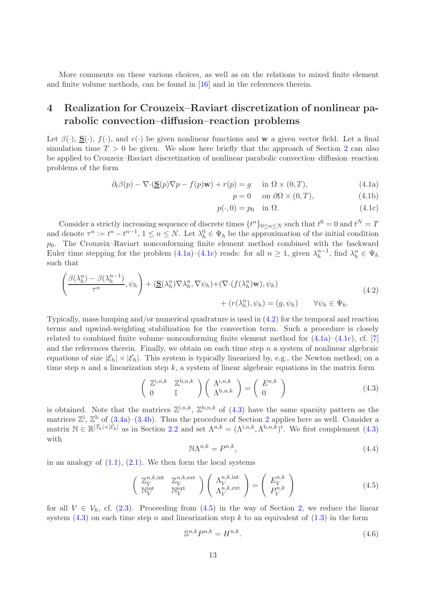More comments on these various choices, as well as on the relations to mixed finite element and finite volume methods, can be found in [\[16\]](#page-25-5) and in the references therein.

# <span id="page-12-0"></span>4 Realization for Crouzeix–Raviart discretization of nonlinear parabolic convection–diffusion–reaction problems

Let  $\beta(\cdot)$ ,  $S(\cdot)$ ,  $f(\cdot)$ , and  $r(\cdot)$  be given nonlinear functions and w a given vector field. Let a final simulation time  $T > 0$  be given. We show here briefly that the approach of Section [2](#page-1-0) can also be applied to Crouzeix–Raviart discretization of nonlinear parabolic convection–diffusion–reaction problems of the form

$$
\partial_t \beta(p) - \nabla \cdot (\underline{\mathbf{S}}(p)\nabla p - f(p)\mathbf{w}) + r(p) = g \quad \text{in } \Omega \times (0, T), \tag{4.1a}
$$

<span id="page-12-2"></span><span id="page-12-1"></span>
$$
p = 0 \quad \text{on } \partial\Omega \times (0, T), \tag{4.1b}
$$

$$
p(\cdot,0) = p_0 \quad \text{in } \Omega. \tag{4.1c}
$$

Consider a strictly increasing sequence of discrete times  $\{t^n\}_{0 \leq n \leq N}$  such that  $t^0 = 0$  and  $t^N = T$ and denote  $\tau^n := t^n - t^{n-1}$ ,  $1 \le n \le N$ . Let  $\lambda_h^0 \in \Psi_h$  be the approximation of the initial condition  $p_0$ . The Crouzeix–Raviart nonconforming finite element method combined with the backward Euler time stepping for the problem  $(4.1a)$ – $(4.1c)$  reads: for all  $n \geq 1$ , given  $\lambda_h^{n-1}$  $\lambda_h^{n-1}$ , find  $\lambda_h^n \in \Psi_h$ such that

<span id="page-12-3"></span>
$$
\left(\frac{\beta(\lambda_h^n) - \beta(\lambda_h^{n-1})}{\tau^n}, \psi_h\right) + \left(\underline{\mathbf{S}}(\lambda_h^n) \nabla \lambda_h^n, \nabla \psi_h\right) + \left(\nabla \cdot (f(\lambda_h^n) \mathbf{w}), \psi_h\right) + \left(r(\lambda_h^n), \psi_h\right) = (g, \psi_h) \qquad \forall \psi_h \in \Psi_h.
$$
\n(4.2)

Typically, mass lumping and/or numerical quadrature is used in [\(4.2\)](#page-12-3) for the temporal and reaction terms and upwind-weighting stabilization for the convection term. Such a procedure is closely related to combined finite volume–nonconforming finite element method for  $(4.1a)$ – $(4.1c)$ , cf. [\[7\]](#page-25-8) and the references therein. Finally, we obtain on each time step  $n$  a system of nonlinear algebraic equations of size  $|\mathcal{E}_h| \times |\mathcal{E}_h|$ . This system is typically linearized by, e.g., the Newton method; on a time step n and a linearization step  $k$ , a system of linear algebraic equations in the matrix form

<span id="page-12-4"></span>
$$
\begin{pmatrix} \mathbb{Z}^{\mathbf{i},n,k} & \mathbb{Z}^{\mathbf{b},n,k} \\ 0 & \mathbb{I} \end{pmatrix} \begin{pmatrix} \Lambda^{\mathbf{i},n,k} \\ \Lambda^{\mathbf{b},n,k} \end{pmatrix} = \begin{pmatrix} E^{n,k} \\ 0 \end{pmatrix}
$$
 (4.3)

is obtained. Note that the matrices  $\mathbb{Z}^{i,n,k}$ ,  $\mathbb{Z}^{b,n,k}$  of  $(4.3)$  have the same sparsity pattern as the matrices  $\mathbb{Z}^i$ ,  $\mathbb{Z}^b$  of  $(3.4a)$ – $(3.4b)$ . Thus the procedure of Section [2](#page-1-0) applies here as well. Consider a matrix  $\mathbb{N} \in \mathbb{R}^{|\mathcal{T}_h| \times |\mathcal{E}_h|}$  as in Section [2.2](#page-3-3) and set  $\Lambda^{n,k} = (\Lambda^{i,n,k}, \Lambda^{b,n,k})^t$ . We first complement  $(4.3)$ with

$$
\mathbb{N}\Lambda^{n,k} = P^{n,k},\tag{4.4}
$$

in an analogy of  $(1.1)$ ,  $(2.1)$ . We then form the local systems

<span id="page-12-5"></span>
$$
\begin{pmatrix} \mathbb{Z}_{V}^{n,k,\text{int}} & \mathbb{Z}_{V}^{n,k,\text{ext}} \\ \mathbb{N}_{V}^{\text{int}} & \mathbb{N}_{V}^{\text{ext}} \end{pmatrix} \begin{pmatrix} \Lambda_{V}^{n,k,\text{int}} \\ \Lambda_{V}^{n,k,\text{ext}} \end{pmatrix} = \begin{pmatrix} E_{V}^{n,k} \\ P_{V}^{n,k} \end{pmatrix}
$$
(4.5)

for all  $V \in \mathcal{V}_h$ , cf. [\(2.3\)](#page-3-2). Proceeding from [\(4.5\)](#page-12-5) in the way of Section [2,](#page-1-0) we reduce the linear system  $(4.3)$  on each time step n and linearization step k to an equivalent of  $(1.3)$  in the form

<span id="page-12-6"></span>
$$
\mathbb{S}^{n,k}P^{n,k} = H^{n,k}.\tag{4.6}
$$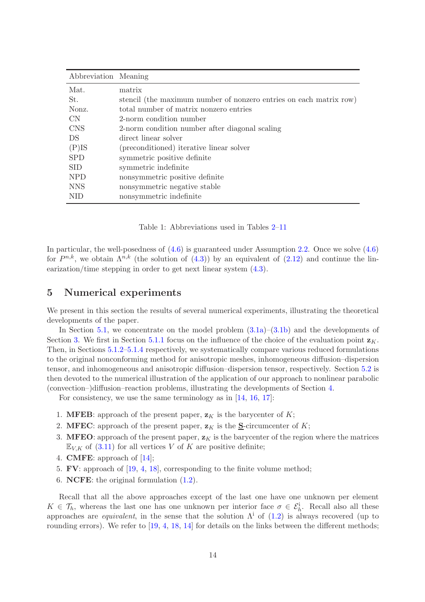| Abbreviation Meaning |                                                                    |
|----------------------|--------------------------------------------------------------------|
| Mat.                 | matrix                                                             |
| St.                  | stencil (the maximum number of nonzero entries on each matrix row) |
| Nonz.                | total number of matrix nonzero entries                             |
| CN.                  | 2-norm condition number                                            |
| <b>CNS</b>           | 2-norm condition number after diagonal scaling                     |
| DS.                  | direct linear solver                                               |
| $(P)$ IS             | (preconditioned) iterative linear solver                           |
| <b>SPD</b>           | symmetric positive definite                                        |
| <b>SID</b>           | symmetric indefinite                                               |
| <b>NPD</b>           | nonsymmetric positive definite                                     |
| <b>NNS</b>           | nonsymmetric negative stable                                       |
| <b>NID</b>           | nonsymmetric indefinite                                            |

<span id="page-13-1"></span>Table 1: Abbreviations used in Tables [2](#page-15-0)[–11](#page-21-1)

In particular, the well-posedness of  $(4.6)$  is guaranteed under Assumption [2.2.](#page-6-0) Once we solve  $(4.6)$ for  $P^{n,k}$ , we obtain  $\Lambda^{n,k}$  (the solution of  $(4.3)$ ) by an equivalent of  $(2.12)$  and continue the linearization/time stepping in order to get next linear system [\(4.3\)](#page-12-4).

### <span id="page-13-0"></span>5 Numerical experiments

We present in this section the results of several numerical experiments, illustrating the theoretical developments of the paper.

In Section [5.1,](#page-14-0) we concentrate on the model problem  $(3.1a)$ – $(3.1b)$  and the developments of Section [3.](#page-7-0) We first in Section [5.1.1](#page-14-1) focus on the influence of the choice of the evaluation point  $\mathbf{z}_K$ . Then, in Sections [5.1.2](#page-15-1)[–5.1.4](#page-17-0) respectively, we systematically compare various reduced formulations to the original nonconforming method for anisotropic meshes, inhomogeneous diffusion–dispersion tensor, and inhomogeneous and anisotropic diffusion–dispersion tensor, respectively. Section [5.2](#page-18-0) is then devoted to the numerical illustration of the application of our approach to nonlinear parabolic (convection–)diffusion–reaction problems, illustrating the developments of Section [4.](#page-12-0)

For consistency, we use the same terminology as in  $[14, 16, 17]$  $[14, 16, 17]$  $[14, 16, 17]$  $[14, 16, 17]$ :

- 1. **MFEB**: approach of the present paper,  $z_K$  is the barycenter of K;
- 2. MFEC: approach of the present paper,  $z_K$  is the S-circumcenter of K;
- 3. MFEO: approach of the present paper,  $z<sub>K</sub>$  is the barycenter of the region where the matrices  $\mathbb{E}_{V,K}$  of [\(3.11\)](#page-9-4) for all vertices V of K are positive definite;
- 4. CMFE: approach of [\[14\]](#page-25-4);
- 5. FV: approach of [\[19,](#page-25-2) [4,](#page-24-1) [18\]](#page-25-3), corresponding to the finite volume method;
- 6. NCFE: the original formulation [\(1.2\)](#page-1-2).

Recall that all the above approaches except of the last one have one unknown per element  $K \in \mathcal{T}_h$ , whereas the last one has one unknown per interior face  $\sigma \in \mathcal{E}_h^i$ . Recall also all these approaches are *equivalent*, in the sense that the solution  $\Lambda^i$  of [\(1.2\)](#page-1-2) is always recovered (up to rounding errors). We refer to [\[19,](#page-25-2) [4,](#page-24-1) [18,](#page-25-3) [14\]](#page-25-4) for details on the links between the different methods;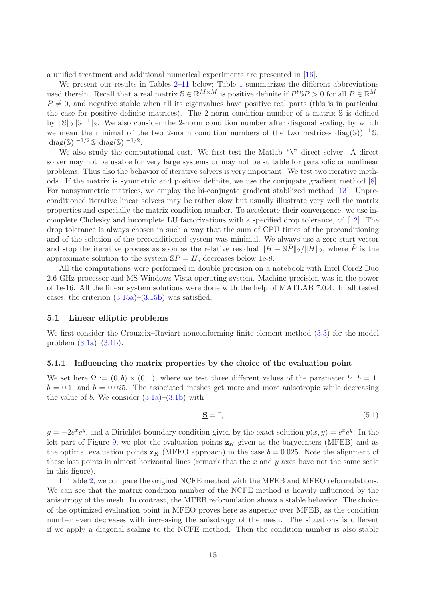a unified treatment and additional numerical experiments are presented in [\[16\]](#page-25-5).

We present our results in Tables [2](#page-15-0)[–11](#page-21-1) below; Table [1](#page-13-1) summarizes the different abbreviations used therein. Recall that a real matrix  $\mathbb{S} \in \mathbb{R}^{M \times M}$  is positive definite if  $P^t \mathbb{S} P > 0$  for all  $P \in \mathbb{R}^M$ ,  $P \neq 0$ , and negative stable when all its eigenvalues have positive real parts (this is in particular the case for positive definite matrices). The 2-norm condition number of a matrix S is defined by  $\|\mathbb{S}\|_2 \|\mathbb{S}^{-1}\|_2$ . We also consider the 2-norm condition number after diagonal scaling, by which we mean the minimal of the two 2-norm condition numbers of the two matrices diag(S))<sup>-1</sup> S,  $|\text{diag}(\mathbb{S})|^{-1/2} \mathbb{S} |\text{diag}(\mathbb{S})|^{-1/2}.$ 

We also study the computational cost. We first test the Matlab "\" direct solver. A direct solver may not be usable for very large systems or may not be suitable for parabolic or nonlinear problems. Thus also the behavior of iterative solvers is very important. We test two iterative methods. If the matrix is symmetric and positive definite, we use the conjugate gradient method [\[8\]](#page-25-10). For nonsymmetric matrices, we employ the bi-conjugate gradient stabilized method [\[13\]](#page-25-11). Unpreconditioned iterative linear solvers may be rather slow but usually illustrate very well the matrix properties and especially the matrix condition number. To accelerate their convergence, we use incomplete Cholesky and incomplete LU factorizations with a specified drop tolerance, cf. [\[12\]](#page-25-12). The drop tolerance is always chosen in such a way that the sum of CPU times of the preconditioning and of the solution of the preconditioned system was minimal. We always use a zero start vector and stop the iterative process as soon as the relative residual  $\|H - \mathbb{S}\tilde{P}\|_2/\|H\|_2$ , where  $\tilde{P}$  is the approximate solution to the system  $SP = H$ , decreases below 1e-8.

All the computations were performed in double precision on a notebook with Intel Core2 Duo 2.6 GHz processor and MS Windows Vista operating system. Machine precision was in the power of 1e-16. All the linear system solutions were done with the help of MATLAB 7.0.4. In all tested cases, the criterion  $(3.15a)$ – $(3.15b)$  was satisfied.

### <span id="page-14-0"></span>5.1 Linear elliptic problems

We first consider the Crouzeix–Raviart nonconforming finite element method  $(3.3)$  for the model problem  $(3.1a)$ – $(3.1b)$ .

### <span id="page-14-1"></span>5.1.1 Influencing the matrix properties by the choice of the evaluation point

We set here  $\Omega := (0, b) \times (0, 1)$ , where we test three different values of the parameter b:  $b = 1$ ,  $b = 0.1$ , and  $b = 0.025$ . The associated meshes get more and more anisotropic while decreasing the value of b. We consider  $(3.1a)$ – $(3.1b)$  with

<span id="page-14-2"></span>
$$
\underline{\mathbf{S}} = \mathbb{I},\tag{5.1}
$$

 $g = -2e^x e^y$ , and a Dirichlet boundary condition given by the exact solution  $p(x, y) = e^x e^y$ . In the left part of Figure [9,](#page-15-2) we plot the evaluation points  $z<sub>K</sub>$  given as the barycenters (MFEB) and as the optimal evaluation points  $z_K$  (MFEO approach) in the case  $b = 0.025$ . Note the alignment of these last points in almost horizontal lines (remark that the x and y axes have not the same scale in this figure).

In Table [2,](#page-15-0) we compare the original NCFE method with the MFEB and MFEO reformulations. We can see that the matrix condition number of the NCFE method is heavily influenced by the anisotropy of the mesh. In contrast, the MFEB reformulation shows a stable behavior. The choice of the optimized evaluation point in MFEO proves here as superior over MFEB, as the condition number even decreases with increasing the anisotropy of the mesh. The situations is different if we apply a diagonal scaling to the NCFE method. Then the condition number is also stable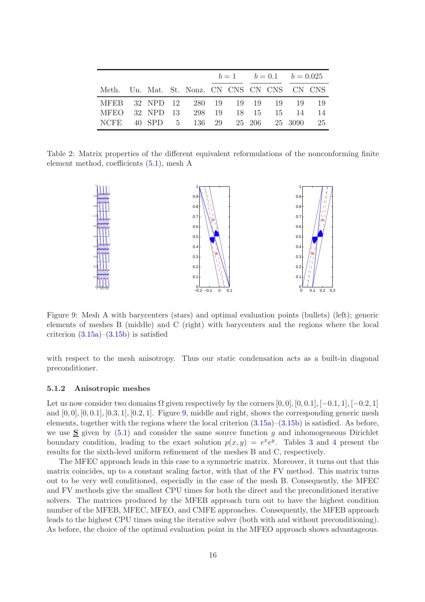|                                               |  |  |  |  | $b=1$ $b=0.1$ $b=0.025$ |    |  |
|-----------------------------------------------|--|--|--|--|-------------------------|----|--|
| Meth. Un. Mat. St. Nonz. CN CNS CN CNS CN CNS |  |  |  |  |                         |    |  |
| MFEB 32 NPD 12 280 19 19 19 19 19 19 19       |  |  |  |  |                         |    |  |
| MFEO 32 NPD 13 298 19 18 15 15 14             |  |  |  |  |                         | 14 |  |
| NCFE 40 SPD 5 136 29 25 206 25 3090 25        |  |  |  |  |                         |    |  |

Table 2: Matrix properties of the different equivalent reformulations of the nonconforming finite element method, coefficients [\(5.1\)](#page-14-2), mesh A

<span id="page-15-0"></span>

<span id="page-15-2"></span>Figure 9: Mesh A with barycenters (stars) and optimal evaluation points (bullets) (left); generic elements of meshes B (middle) and C (right) with barycenters and the regions where the local criterion  $(3.15a)-(3.15b)$  $(3.15a)-(3.15b)$  is satisfied

with respect to the mesh anisotropy. Thus our static condensation acts as a built-in diagonal preconditioner.

#### <span id="page-15-1"></span>5.1.2 Anisotropic meshes

Let us now consider two domains  $\Omega$  given respectively by the corners [0, 0], [0, 0.1], [−0.1, 1], [−0.2, 1] and  $[0, 0], [0, 0.1], [0.3, 1], [0.2, 1]$ . Figure [9,](#page-15-2) middle and right, shows the corresponding generic mesh elements, together with the regions where the local criterion  $(3.15a)$ – $(3.15b)$  is satisfied. As before, we use  $S$  given by [\(5.1\)](#page-14-2) and consider the same source function g and inhomogeneous Dirichlet boundary condition, leading to the exact solution  $p(x, y) = e^x e^y$ . Tables [3](#page-16-0) and [4](#page-16-1) present the results for the sixth-level uniform refinement of the meshes B and C, respectively.

The MFEC approach leads in this case to a symmetric matrix. Moreover, it turns out that this matrix coincides, up to a constant scaling factor, with that of the FV method. This matrix turns out to be very well conditioned, especially in the case of the mesh B. Consequently, the MFEC and FV methods give the smallest CPU times for both the direct and the preconditioned iterative solvers. The matrices produced by the MFEB approach turn out to have the highest condition number of the MFEB, MFEC, MFEO, and CMFE approaches. Consequently, the MFEB approach leads to the highest CPU times using the iterative solver (both with and without preconditioning). As before, the choice of the optimal evaluation point in the MFEO approach shows advantageous.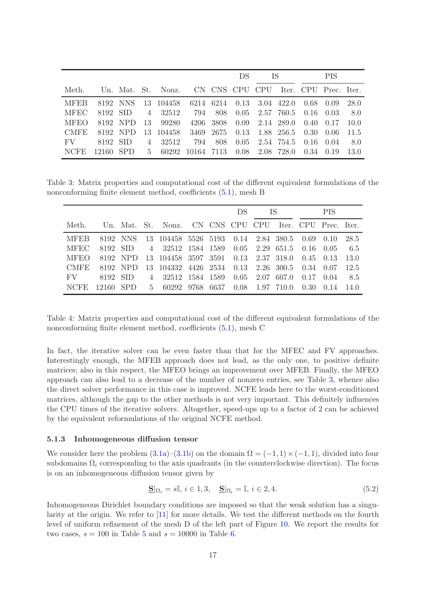|             |          |           |       |                                   | DS.        |           |                | TS.               |                 | <b>PIS</b> |                       |      |  |
|-------------|----------|-----------|-------|-----------------------------------|------------|-----------|----------------|-------------------|-----------------|------------|-----------------------|------|--|
| Meth.       |          |           |       | Un. Mat. St. Nonz. CN CNS CPU CPU |            |           |                |                   |                 |            | Iter. CPU Prec. Iter. |      |  |
| <b>MFEB</b> |          | 8192 NNS  |       | 13 104458                         |            |           | 6214 6214 0.13 | 3.04 422.0        |                 | 0.68       | 0.09                  | 28.0 |  |
| <b>MFEC</b> | 8192 SID |           | 4     | 32512                             | 794        | 808       | 0.05           |                   | 2.57 760.5      | 0.16       | 0.03                  | 8.0  |  |
| <b>MFEO</b> |          | 8192 NPD  | -13-  | 99280                             |            | 4206 3808 | 0.09           |                   | 2.14 289.0      | 0.40       | 0.17                  | 10.0 |  |
| <b>CMFE</b> |          | 8192 NPD  |       | 13 104458                         |            | 3469 2675 | 0.13           |                   | 1.88 256.5 0.30 |            | -0.06                 | 11.5 |  |
| FV.         | 8192 SID |           | 4     | 32512                             | 794        | 808       | 0.05           |                   | 2.54 754.5 0.16 |            | 0.04                  | 8.0  |  |
| <b>NCFE</b> |          | 12160 SPD | $5 -$ | 60292                             | 10164 7113 |           |                | $0.08$ 2.08 728.0 |                 | 0.34       | 0.19                  | 13.0 |  |

Table 3: Matrix properties and computational cost of the different equivalent formulations of the nonconforming finite element method, coefficients [\(5.1\)](#page-14-2), mesh B

<span id="page-16-0"></span>

|             |           |          |                |                                                         |      | DS | - IS        |                   | <b>PIS</b> |      |       |  |
|-------------|-----------|----------|----------------|---------------------------------------------------------|------|----|-------------|-------------------|------------|------|-------|--|
| Meth.       |           |          |                | Un. Mat. St. Nonz. CN CNS CPU CPU Iter. CPU Prec. Iter. |      |    |             |                   |            |      |       |  |
| <b>MFEB</b> |           | 8192 NNS |                | 13 104458 5526 5193 0.14 2.84 380.5 0.69 0.10           |      |    |             |                   |            |      | 28.5  |  |
| <b>MFEC</b> | 8192 SID  |          |                | 4 32512 1584 1589 0.05 2.29 651.5 0.16 0.05             |      |    |             |                   |            |      | - 6.5 |  |
| MFEO.       |           | 8192 NPD |                | 13 104458 3597 3591 0.13 2.37 318.0 0.45 0.13           |      |    |             |                   |            |      | 13.0  |  |
| CMFE.       |           | 8192 NPD |                | 13 104332 4426 2534 0.13 2.26 300.5 0.34 0.07           |      |    |             |                   |            |      | 12.5  |  |
| FV.         | 8192 SID  |          | $\overline{4}$ | 32512 1584 1589                                         |      |    | $0.05$ 2.07 | 607.0             | 0.17       | 0.04 | 8.5   |  |
| <b>NCFE</b> | 12160 SPD |          | $5 -$          | 60292 9768                                              | 6637 |    |             | $0.08$ 1.97 710.0 | 0.30       | 0.14 | 14.0  |  |

<span id="page-16-1"></span>Table 4: Matrix properties and computational cost of the different equivalent formulations of the nonconforming finite element method, coefficients [\(5.1\)](#page-14-2), mesh C

In fact, the iterative solver can be even faster than that for the MFEC and FV approaches. Interestingly enough, the MFEB approach does not lead, as the only one, to positive definite matrices; also in this respect, the MFEO brings an improvement over MFEB. Finally, the MFEO approach can also lead to a decrease of the number of nonzero entries, see Table [3,](#page-16-0) whence also the direct solver performance in this case is improved. NCFE leads here to the worst-conditioned matrices, although the gap to the other methods is not very important. This definitely influences the CPU times of the iterative solvers. Altogether, speed-ups up to a factor of 2 can be achieved by the equivalent reformulations of the original NCFE method.

#### <span id="page-16-3"></span>5.1.3 Inhomogeneous diffusion tensor

We consider here the problem  $(3.1a)$ – $(3.1b)$  on the domain  $\Omega = (-1, 1) \times (-1, 1)$ , divided into four subdomains  $\Omega_i$  corresponding to the axis quadrants (in the counterclockwise direction). The focus is on an inhomogeneous diffusion tensor given by

<span id="page-16-2"></span>
$$
\underline{\mathbf{S}}|\Omega_i = s\mathbb{I}, i \in 1,3, \quad \underline{\mathbf{S}}|\Omega_i = \mathbb{I}, i \in 2,4. \tag{5.2}
$$

Inhomogeneous Dirichlet boundary conditions are imposed so that the weak solution has a singularity at the origin. We refer to [\[11\]](#page-25-13) for more details. We test the different methods on the fourth level of uniform refinement of the mesh D of the left part of Figure [10.](#page-17-1) We report the results for two cases,  $s = 100$  in Table [5](#page-17-2) and  $s = 10000$  in Table [6.](#page-18-1)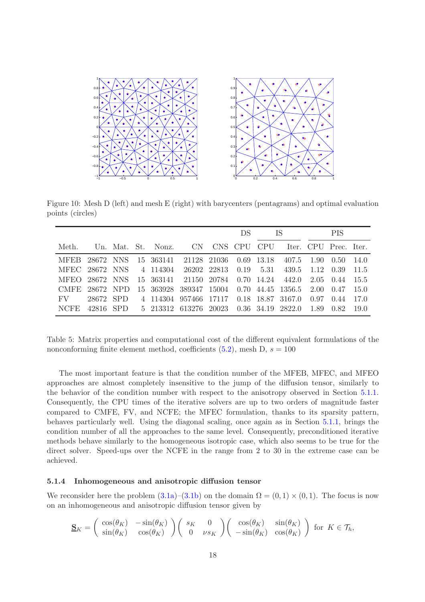

Figure 10: Mesh D (left) and mesh E (right) with barycenters (pentagrams) and optimal evaluation points (circles)

<span id="page-17-1"></span>

|                |           |  |                                                         | DS - |  |  |  | - IS            | <b>PIS</b> |      |      |  |
|----------------|-----------|--|---------------------------------------------------------|------|--|--|--|-----------------|------------|------|------|--|
| Meth.          |           |  | Un. Mat. St. Nonz. CN CNS CPU CPU Iter. CPU Prec. Iter. |      |  |  |  |                 |            |      |      |  |
|                |           |  | MFEB 28672 NNS 15 363141 21128 21036 0.69 13.18         |      |  |  |  | 407.5 1.90 0.50 |            |      | 14.0 |  |
|                |           |  | MFEC 28672 NNS 4 114304 26202 22813 0.19 5.31           |      |  |  |  |                 | 439.5 1.12 | 0.39 | 11.5 |  |
| MFEO 28672 NNS |           |  | 15 363141 21150 20784 0.70 14.24 442.0 2.05 0.44        |      |  |  |  |                 |            |      | 15.5 |  |
| CMFE 28672 NPD |           |  | 15 363928 389347 15004 0.70 44.45 1356.5 2.00 0.47      |      |  |  |  |                 |            |      | 15.0 |  |
| $\rm FV$       | 28672 SPD |  | 4 114304 957466 17117 0.18 18.87 3167.0                 |      |  |  |  |                 | 0.97       | 0.44 | 17.0 |  |
| NCFE.          |           |  | 42816 SPD 5 213312 613276 20023 0.36 34.19 2822.0 1.89  |      |  |  |  |                 |            | 0.82 | 19.0 |  |

<span id="page-17-2"></span>Table 5: Matrix properties and computational cost of the different equivalent formulations of the nonconforming finite element method, coefficients  $(5.2)$ , mesh D,  $s = 100$ 

The most important feature is that the condition number of the MFEB, MFEC, and MFEO approaches are almost completely insensitive to the jump of the diffusion tensor, similarly to the behavior of the condition number with respect to the anisotropy observed in Section [5.1.1.](#page-14-1) Consequently, the CPU times of the iterative solvers are up to two orders of magnitude faster compared to CMFE, FV, and NCFE; the MFEC formulation, thanks to its sparsity pattern, behaves particularly well. Using the diagonal scaling, once again as in Section [5.1.1,](#page-14-1) brings the condition number of all the approaches to the same level. Consequently, preconditioned iterative methods behave similarly to the homogeneous isotropic case, which also seems to be true for the direct solver. Speed-ups over the NCFE in the range from 2 to 30 in the extreme case can be achieved.

### <span id="page-17-0"></span>5.1.4 Inhomogeneous and anisotropic diffusion tensor

We reconsider here the problem  $(3.1a)$ – $(3.1b)$  on the domain  $\Omega = (0,1) \times (0,1)$ . The focus is now on an inhomogeneous and anisotropic diffusion tensor given by

$$
\mathbf{S}_K = \begin{pmatrix} \cos(\theta_K) & -\sin(\theta_K) \\ \sin(\theta_K) & \cos(\theta_K) \end{pmatrix} \begin{pmatrix} s_K & 0 \\ 0 & \nu s_K \end{pmatrix} \begin{pmatrix} \cos(\theta_K) & \sin(\theta_K) \\ -\sin(\theta_K) & \cos(\theta_K) \end{pmatrix}
$$
 for  $K \in \mathcal{T}_h$ ,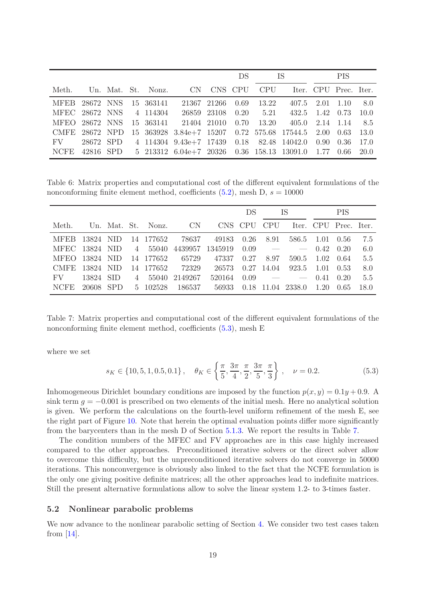|                       |           |  |                         | DS -                                                  |             |      |                | - IS-                                   | <b>PIS</b>      |                             |       |  |
|-----------------------|-----------|--|-------------------------|-------------------------------------------------------|-------------|------|----------------|-----------------------------------------|-----------------|-----------------------------|-------|--|
| Meth.                 |           |  |                         | Un. Mat. St. Nonz. CN CNS CPU CPU                     |             |      |                |                                         |                 | Iter. CPU Prec. Iter.       |       |  |
| <b>MFEB</b> 28672 NNS |           |  | 15 363141               |                                                       | 21367 21266 | 0.69 | 13.22          |                                         |                 | $407.5$ $2.01$ $1.10$ $8.0$ |       |  |
|                       |           |  | MFEC 28672 NNS 4 114304 | 26859                                                 | 23108       |      | $0.20 \t 5.21$ |                                         | 432.5 1.42 0.73 |                             | 10.0  |  |
| MFEO 28672 NNS        |           |  |                         | 15 363141 21404 21010                                 |             | 0.70 |                | $13.20 \t 405.0 \t 2.14 \t 1.14 \t 8.5$ |                 |                             |       |  |
| CMFE 28672 NPD        |           |  |                         | 15 363928 3.84e+7 15207 0.72 575.68 17544.5 2.00 0.63 |             |      |                |                                         |                 |                             | 13.0  |  |
| $\rm FV$              | 28672 SPD |  |                         | 4 114304 9.43e+7 17439 0.18 82.48 14042.0 0.90 0.36   |             |      |                |                                         |                 |                             | 17.0  |  |
| <b>NCFE</b>           | 42816 SPD |  |                         | 5 213312 6.04e+7 20326 0.36 158.13 13091.0 1.77 0.66  |             |      |                |                                         |                 |                             | -20.0 |  |

<span id="page-18-1"></span>Table 6: Matrix properties and computational cost of the different equivalent formulations of the nonconforming finite element method, coefficients  $(5.2)$ , mesh D,  $s = 10000$ 

|                |           |            |                |                    |           |         | DS      |            | -IS    |      | <b>PIS</b>            |      |
|----------------|-----------|------------|----------------|--------------------|-----------|---------|---------|------------|--------|------|-----------------------|------|
| Meth.          |           |            |                | Un. Mat. St. Nonz. | <b>CN</b> |         | CNS CPU | <b>CPU</b> |        |      | Iter. CPU Prec. Iter. |      |
| <b>MFEB</b>    | 13824 NID |            |                | 14 177652          | 78637     | 49183   | 0.26    | 8.91       | 586.5  | 1.01 | 0.56                  | 7.5  |
| MFEC 13824 NID |           |            | $\overline{4}$ | 55040              | 4439957   | 1345919 | 0.09    |            |        | 0.42 | 0.20                  | 6.0  |
| <b>MFEO</b>    | 13824 NID |            |                | 14 177652          | 65729     | 47337   | 0.27    | 8.97       | 590.5  | 1.02 | -0.64                 | 5.5  |
| CMFE.          | 13824 NID |            |                | 14 177652          | 72329     | 26573   | 0.27    | 14.04      | 923.5  | 1.01 | 0.53                  | 8.0  |
| FV             | 13824     | -SID       | 4              | 55040              | 2149267   | 520164  | 0.09    |            |        | 0.41 | 0.20                  | 5.5  |
| <b>NCFE</b>    | 20608     | <b>SPD</b> | $5 -$          | 102528             | 186537    | 56933   | 0.18    | 11.04      | 2338.0 | 1.20 | 0.65                  | 18.0 |

<span id="page-18-3"></span>Table 7: Matrix properties and computational cost of the different equivalent formulations of the nonconforming finite element method, coefficients  $(5.3)$ , mesh E

where we set

<span id="page-18-2"></span>
$$
s_K \in \{10, 5, 1, 0.5, 0.1\}, \quad \theta_K \in \left\{\frac{\pi}{5}, \frac{3\pi}{4}, \frac{\pi}{2}, \frac{3\pi}{5}, \frac{\pi}{3}\right\}, \quad \nu = 0.2. \tag{5.3}
$$

Inhomogeneous Dirichlet boundary conditions are imposed by the function  $p(x, y) = 0.1y + 0.9$ . A sink term  $q = -0.001$  is prescribed on two elements of the initial mesh. Here no analytical solution is given. We perform the calculations on the fourth-level uniform refinement of the mesh E, see the right part of Figure [10.](#page-17-1) Note that herein the optimal evaluation points differ more significantly from the barycenters than in the mesh D of Section [5.1.3.](#page-16-3) We report the results in Table [7.](#page-18-3)

The condition numbers of the MFEC and FV approaches are in this case highly increased compared to the other approaches. Preconditioned iterative solvers or the direct solver allow to overcome this difficulty, but the unpreconditioned iterative solvers do not converge in 50000 iterations. This nonconvergence is obviously also linked to the fact that the NCFE formulation is the only one giving positive definite matrices; all the other approaches lead to indefinite matrices. Still the present alternative formulations allow to solve the linear system 1.2- to 3-times faster.

### <span id="page-18-0"></span>5.2 Nonlinear parabolic problems

We now advance to the nonlinear parabolic setting of Section [4.](#page-12-0) We consider two test cases taken from  $[14]$ .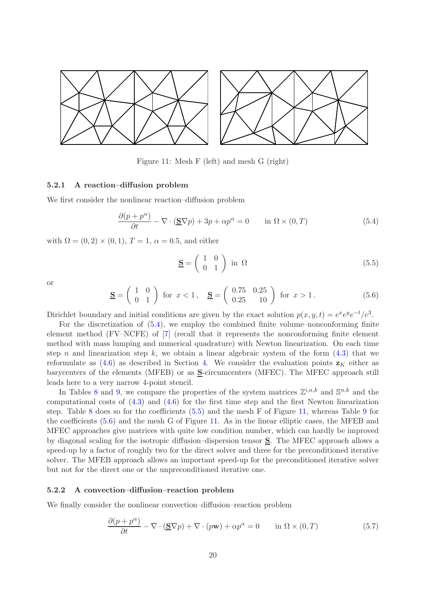![](_page_19_Figure_0.jpeg)

<span id="page-19-2"></span>Figure 11: Mesh F (left) and mesh G (right)

### 5.2.1 A reaction–diffusion problem

We first consider the nonlinear reaction–diffusion problem

<span id="page-19-0"></span>
$$
\frac{\partial (p + p^{\alpha})}{\partial t} - \nabla \cdot (\underline{\mathbf{S}} \nabla p) + 3p + \alpha p^{\alpha} = 0 \quad \text{in } \Omega \times (0, T)
$$
 (5.4)

with  $\Omega = (0, 2) \times (0, 1), T = 1, \alpha = 0.5$ , and either

<span id="page-19-1"></span>
$$
\underline{\mathbf{S}} = \begin{pmatrix} 1 & 0 \\ 0 & 1 \end{pmatrix} \text{ in } \Omega \tag{5.5}
$$

or

<span id="page-19-3"></span>
$$
\underline{\mathbf{S}} = \begin{pmatrix} 1 & 0 \\ 0 & 1 \end{pmatrix} \text{ for } x < 1, \quad \underline{\mathbf{S}} = \begin{pmatrix} 0.75 & 0.25 \\ 0.25 & 10 \end{pmatrix} \text{ for } x > 1. \tag{5.6}
$$

Dirichlet boundary and initial conditions are given by the exact solution  $p(x, y, t) = e^x e^y e^{-t} / e^3$ .

For the discretization of [\(5.4\)](#page-19-0), we employ the combined finite volume–nonconforming finite element method (FV–NCFE) of [\[7\]](#page-25-8) (recall that it represents the nonconforming finite element method with mass lumping and numerical quadrature) with Newton linearization. On each time step n and linearization step k, we obtain a linear algebraic system of the form  $(4.3)$  that we reformulate as [\(4.6\)](#page-12-6) as described in Section [4.](#page-12-0) We consider the evaluation points  $z<sub>K</sub>$  either as barycenters of the elements (MFEB) or as S-circumcenters (MFEC). The MFEC approach still leads here to a very narrow 4-point stencil.

In Tables [8](#page-20-0) and [9,](#page-20-1) we compare the properties of the system matrices  $\mathbb{Z}^{1,n,k}$  and  $\mathbb{S}^{n,k}$  and the computational costs of [\(4.3\)](#page-12-4) and [\(4.6\)](#page-12-6) for the first time step and the first Newton linearization step. Table [8](#page-20-0) does so for the coefficients [\(5.5\)](#page-19-1) and the mesh F of Figure [11,](#page-19-2) whereas Table [9](#page-20-1) for the coefficients [\(5.6\)](#page-19-3) and the mesh G of Figure [11.](#page-19-2) As in the linear elliptic cases, the MFEB and MFEC approaches give matrices with quite low condition number, which can hardly be improved by diagonal scaling for the isotropic diffusion–dispersion tensor S. The MFEC approach allows a speed-up by a factor of roughly two for the direct solver and three for the preconditioned iterative solver. The MFEB approach allows an important speed-up for the preconditioned iterative solver but not for the direct one or the unpreconditioned iterative one.

### 5.2.2 A convection–diffusion–reaction problem

We finally consider the nonlinear convection–diffusion–reaction problem

<span id="page-19-4"></span>
$$
\frac{\partial (p + p^{\alpha})}{\partial t} - \nabla \cdot (\underline{\mathbf{S}} \nabla p) + \nabla \cdot (p \mathbf{w}) + \alpha p^{\alpha} = 0 \quad \text{in } \Omega \times (0, T)
$$
 (5.7)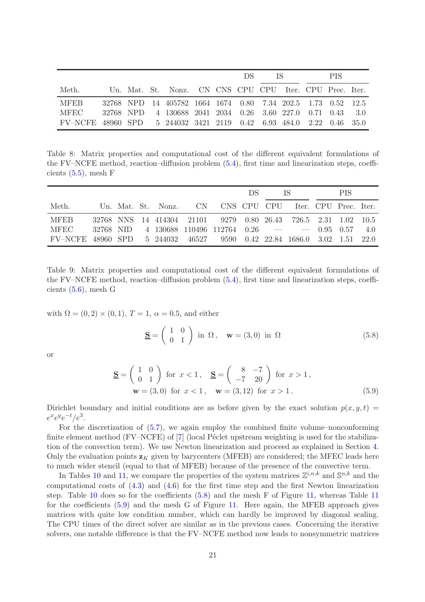|                                                                     |  |                                                              |  | <b>DS</b> | <b>IS</b> | PIS. |  |
|---------------------------------------------------------------------|--|--------------------------------------------------------------|--|-----------|-----------|------|--|
| Meth.                                                               |  | Un. Mat. St. Nonz. CN CNS CPU CPU Iter. CPU Prec. Iter.      |  |           |           |      |  |
| <b>MFEB</b>                                                         |  | 32768 NPD 14 405782 1664 1674 0.80 7.34 202.5 1.73 0.52 12.5 |  |           |           |      |  |
| <b>MFEC</b>                                                         |  | 32768 NPD 4 130688 2041 2034 0.26 3.60 227.0 0.71 0.43 3.0   |  |           |           |      |  |
| FV-NCFE 48960 SPD 5 244032 3421 2119 0.42 6.93 484.0 2.22 0.46 35.0 |  |                                                              |  |           |           |      |  |

<span id="page-20-0"></span>Table 8: Matrix properties and computational cost of the different equivalent formulations of the FV–NCFE method, reaction–diffusion problem [\(5.4\)](#page-19-0), first time and linearization steps, coefficients  $(5.5)$ , mesh F

|                                                                        |  |  |                                                                | DS | IS. | <b>PIS</b> |  |
|------------------------------------------------------------------------|--|--|----------------------------------------------------------------|----|-----|------------|--|
| Meth.                                                                  |  |  | Un. Mat. St. Nonz. CN CNS CPU CPU Iter. CPU Prec. Iter.        |    |     |            |  |
| <b>MFEB</b>                                                            |  |  | 32768 NNS 14 414304 21101 9279 0.80 26.43 726.5 2.31 1.02 10.5 |    |     |            |  |
| MFEC                                                                   |  |  | $32768$ NID $4$ 130688 110496 112764 0.26 - - - 0.95 0.57 4.0  |    |     |            |  |
| FV-NCFE 48960 SPD 5 244032 46527 9590 0.42 22.84 1686.0 3.02 1.51 22.0 |  |  |                                                                |    |     |            |  |

<span id="page-20-1"></span>Table 9: Matrix properties and computational cost of the different equivalent formulations of the FV–NCFE method, reaction–diffusion problem [\(5.4\)](#page-19-0), first time and linearization steps, coefficients [\(5.6\)](#page-19-3), mesh G

with  $\Omega = (0, 2) \times (0, 1)$ ,  $T = 1$ ,  $\alpha = 0.5$ , and either

<span id="page-20-2"></span>
$$
\underline{\mathbf{S}} = \begin{pmatrix} 1 & 0 \\ 0 & 1 \end{pmatrix} \text{ in } \Omega, \quad \mathbf{w} = (3, 0) \text{ in } \Omega \tag{5.8}
$$

or

<span id="page-20-3"></span>
$$
\underline{\mathbf{S}} = \begin{pmatrix} 1 & 0 \\ 0 & 1 \end{pmatrix} \text{ for } x < 1, \quad \underline{\mathbf{S}} = \begin{pmatrix} 8 & -7 \\ -7 & 20 \end{pmatrix} \text{ for } x > 1,
$$
  
\n
$$
\mathbf{w} = (3, 0) \text{ for } x < 1, \quad \mathbf{w} = (3, 12) \text{ for } x > 1.
$$
 (5.9)

Dirichlet boundary and initial conditions are as before given by the exact solution  $p(x, y, t)$  $e^x e^y e^{-t}/e^3$ .

For the discretization of [\(5.7\)](#page-19-4), we again employ the combined finite volume–nonconforming finite element method (FV–NCFE) of  $[7]$  (local Péclet upstream weighting is used for the stabilization of the convection term). We use Newton linearization and proceed as explained in Section [4.](#page-12-0) Only the evaluation points  $\mathbf{z}_K$  given by barycenters (MFEB) are considered; the MFEC leads here to much wider stencil (equal to that of MFEB) because of the presence of the convective term.

In Tables [10](#page-21-2) and [11,](#page-21-1) we compare the properties of the system matrices  $\mathbb{Z}^{i,n,k}$  and  $\mathbb{S}^{n,k}$  and the computational costs of [\(4.3\)](#page-12-4) and [\(4.6\)](#page-12-6) for the first time step and the first Newton linearization step. Table [10](#page-21-2) does so for the coefficients [\(5.8\)](#page-20-2) and the mesh F of Figure [11,](#page-19-2) whereas Table [11](#page-21-1) for the coefficients [\(5.9\)](#page-20-3) and the mesh G of Figure [11.](#page-19-2) Here again, the MFEB approach gives matrices with quite low condition number, which can hardly be improved by diagonal scaling. The CPU times of the direct solver are similar as in the previous cases. Concerning the iterative solvers, one notable difference is that the FV–NCFE method now leads to nonsymmetric matrices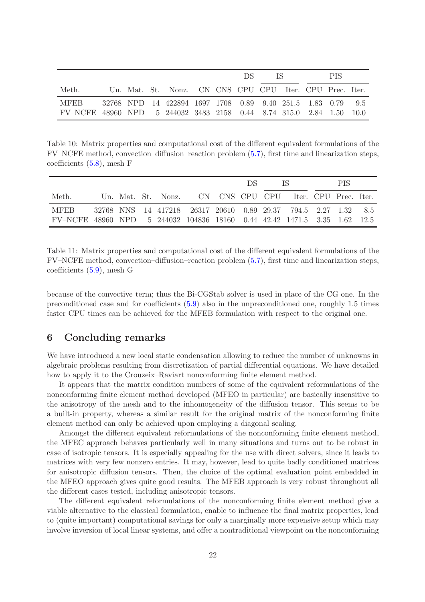|                                                                     |  |                                                             |  | DS 5 | - IS - 18 |  | PIS. |  |
|---------------------------------------------------------------------|--|-------------------------------------------------------------|--|------|-----------|--|------|--|
| Meth.                                                               |  | Un. Mat. St. Nonz. CN CNS CPU CPU Iter. CPU Prec. Iter.     |  |      |           |  |      |  |
| MFEB                                                                |  | 32768 NPD 14 422894 1697 1708 0.89 9.40 251.5 1.83 0.79 9.5 |  |      |           |  |      |  |
| FV-NCFE 48960 NPD 5 244032 3483 2158 0.44 8.74 315.0 2.84 1.50 10.0 |  |                                                             |  |      |           |  |      |  |

<span id="page-21-2"></span>Table 10: Matrix properties and computational cost of the different equivalent formulations of the FV–NCFE method, convection–diffusion–reaction problem [\(5.7\)](#page-19-4), first time and linearization steps, coefficients [\(5.8\)](#page-20-2), mesh F

|                                                                          |  |                                                                |  | DS. | TS. | <b>PIS</b> |  |
|--------------------------------------------------------------------------|--|----------------------------------------------------------------|--|-----|-----|------------|--|
| Meth.                                                                    |  | Un. Mat. St. Nonz. CN CNS CPU CPU Iter. CPU Prec. Iter.        |  |     |     |            |  |
| <b>MFEB</b>                                                              |  | 32768 NNS 14 417218 26317 20610 0.89 29.37 794.5 2.27 1.32 8.5 |  |     |     |            |  |
| FV-NCFE 48960 NPD 5 244032 104836 18160 0.44 42.42 1471.5 3.35 1.62 12.5 |  |                                                                |  |     |     |            |  |

<span id="page-21-1"></span>Table 11: Matrix properties and computational cost of the different equivalent formulations of the FV–NCFE method, convection–diffusion–reaction problem [\(5.7\)](#page-19-4), first time and linearization steps, coefficients [\(5.9\)](#page-20-3), mesh G

because of the convective term; thus the Bi-CGStab solver is used in place of the CG one. In the preconditioned case and for coefficients [\(5.9\)](#page-20-3) also in the unpreconditioned one, roughly 1.5 times faster CPU times can be achieved for the MFEB formulation with respect to the original one.

### <span id="page-21-0"></span>6 Concluding remarks

We have introduced a new local static condensation allowing to reduce the number of unknowns in algebraic problems resulting from discretization of partial differential equations. We have detailed how to apply it to the Crouzeix–Raviart nonconforming finite element method.

It appears that the matrix condition numbers of some of the equivalent reformulations of the nonconforming finite element method developed (MFEO in particular) are basically insensitive to the anisotropy of the mesh and to the inhomogeneity of the diffusion tensor. This seems to be a built-in property, whereas a similar result for the original matrix of the nonconforming finite element method can only be achieved upon employing a diagonal scaling.

Amongst the different equivalent reformulations of the nonconforming finite element method, the MFEC approach behaves particularly well in many situations and turns out to be robust in case of isotropic tensors. It is especially appealing for the use with direct solvers, since it leads to matrices with very few nonzero entries. It may, however, lead to quite badly conditioned matrices for anisotropic diffusion tensors. Then, the choice of the optimal evaluation point embedded in the MFEO approach gives quite good results. The MFEB approach is very robust throughout all the different cases tested, including anisotropic tensors.

The different equivalent reformulations of the nonconforming finite element method give a viable alternative to the classical formulation, enable to influence the final matrix properties, lead to (quite important) computational savings for only a marginally more expensive setup which may involve inversion of local linear systems, and offer a nontraditional viewpoint on the nonconforming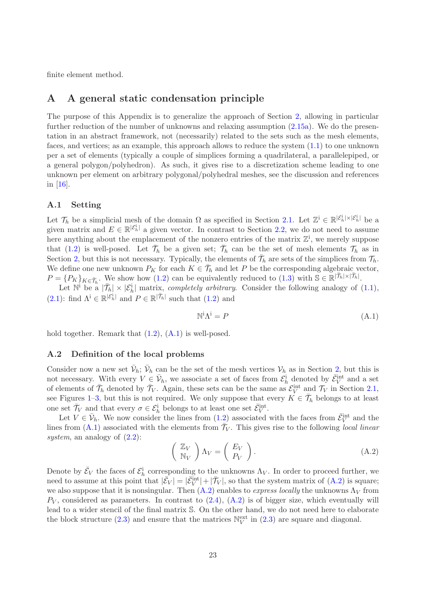<span id="page-22-0"></span>finite element method.

### A A general static condensation principle

The purpose of this Appendix is to generalize the approach of Section [2,](#page-1-0) allowing in particular further reduction of the number of unknowns and relaxing assumption [\(2.15a\)](#page-6-3). We do the presentation in an abstract framework, not (necessarily) related to the sets such as the mesh elements, faces, and vertices; as an example, this approach allows to reduce the system [\(1.1\)](#page-0-0) to one unknown per a set of elements (typically a couple of simplices forming a quadrilateral, a parallelepiped, or a general polygon/polyhedron). As such, it gives rise to a discretization scheme leading to one unknown per element on arbitrary polygonal/polyhedral meshes, see the discussion and references in [\[16\]](#page-25-5).

### A.1 Setting

Let  $\mathcal{T}_h$  be a simplicial mesh of the domain  $\Omega$  as specified in Section [2.1.](#page-2-3) Let  $\mathbb{Z}^i \in \mathbb{R}^{|\mathcal{E}_h^i| \times |\mathcal{E}_h^i|}$  be a given matrix and  $E \in \mathbb{R}^{|\mathcal{E}_h^i|}$  a given vector. In contrast to Section [2.2,](#page-3-3) we do not need to assume here anything about the emplacement of the nonzero entries of the matrix  $\mathbb{Z}^i$ , we merely suppose that [\(1.2\)](#page-1-2) is well-posed. Let  $\bar{\mathcal{T}}_h$  be a given set;  $\bar{\mathcal{T}}_h$  can be the set of mesh elements  $\mathcal{T}_h$  as in Section [2,](#page-1-0) but this is not necessary. Typically, the elements of  $\bar{\mathcal{T}}_h$  are sets of the simplices from  $\mathcal{T}_h$ . We define one new unknown  $P_K$  for each  $K \in \overline{\mathcal{T}}_h$  and let P be the corresponding algebraic vector,  $P = \{P_K\}_{K \in \overline{\mathcal{T}}_h}$ . We show how [\(1.2\)](#page-1-2) can be equivalently reduced to [\(1.3\)](#page-1-1) with  $\mathbb{S} \in \mathbb{R}^{|\overline{\mathcal{T}}_h| \times |\overline{\mathcal{T}}_h|}$ .

Let  $\mathbb{N}^i$  be a  $|\bar{\mathcal{T}}_h| \times |\mathcal{E}_h^i|$  matrix, *completely arbitrary*. Consider the following analogy of  $(1.1)$ , [\(2.1\)](#page-3-0): find  $\Lambda^i \in \mathbb{R}^{|\mathcal{E}_h^i|}$  and  $P \in \mathbb{R}^{|\mathcal{T}_h|}$  such that [\(1.2\)](#page-1-2) and

<span id="page-22-1"></span>
$$
\mathbb{N}^i \Lambda^i = P \tag{A.1}
$$

hold together. Remark that  $(1.2)$ ,  $(A.1)$  is well-posed.

### A.2 Definition of the local problems

Consider now a new set  $\bar{\mathcal{V}}_h$ ;  $\bar{\mathcal{V}}_h$  can be the set of the mesh vertices  $\mathcal{V}_h$  as in Section [2,](#page-1-0) but this is not necessary. With every  $V \in \bar{\mathcal{V}}_h$ , we associate a set of faces from  $\mathcal{E}_h^{\text{i}}$  denoted by  $\bar{\mathcal{E}}_V^{\text{int}}$  and a set of elements of  $\bar{\mathcal{T}}_h$  denoted by  $\bar{\mathcal{T}}_V$ . Again, these sets can be the same as  $\mathcal{E}_V^{\text{int}}$  and  $\mathcal{T}_V$  in Section [2.1,](#page-2-3) see Figures [1](#page-2-0)[–3,](#page-2-1) but this is not required. We only suppose that every  $K \in \overline{\mathcal{T}}_h$  belongs to at least one set  $\bar{\mathcal{T}}_V$  and that every  $\sigma \in \mathcal{E}_h^i$  belongs to at least one set  $\bar{\mathcal{E}}_V^{\text{int}}$ .

Let  $V \in \bar{\mathcal{V}}_h$ . We now consider the lines from  $(1.2)$  associated with the faces from  $\bar{\mathcal{E}}_V^{\text{int}}$  and the lines from  $(A.1)$  associated with the elements from  $\bar{\mathcal{T}}_V$ . This gives rise to the following *local linear system*, an analogy of  $(2.2)$ :

<span id="page-22-2"></span>
$$
\left(\begin{array}{c}\mathbb{Z}_V\\ \mathbb{N}_V\end{array}\right)\Lambda_V=\left(\begin{array}{c}E_V\\ P_V\end{array}\right).
$$
\n(A.2)

Denote by  $\bar{\mathcal{E}}_V$  the faces of  $\mathcal{E}_h^i$  corresponding to the unknowns  $\Lambda_V$ . In order to proceed further, we need to assume at this point that  $|\bar{\mathcal{E}}_V| = |\bar{\mathcal{E}}_V^{\text{int}}| + |\bar{\mathcal{T}}_V|$ , so that the system matrix of  $(A.2)$  is square; we also suppose that it is nonsingular. Then  $(A.2)$  enables to *express locally* the unknowns  $\Lambda_V$  from  $P_V$ , considered as parameters. In contrast to  $(2.4)$ ,  $(A.2)$  is of bigger size, which eventually will lead to a wider stencil of the final matrix S. On the other hand, we do not need here to elaborate the block structure [\(2.3\)](#page-3-2) and ensure that the matrices  $\mathbb{N}_V^{\text{ext}}$  in (2.3) are square and diagonal.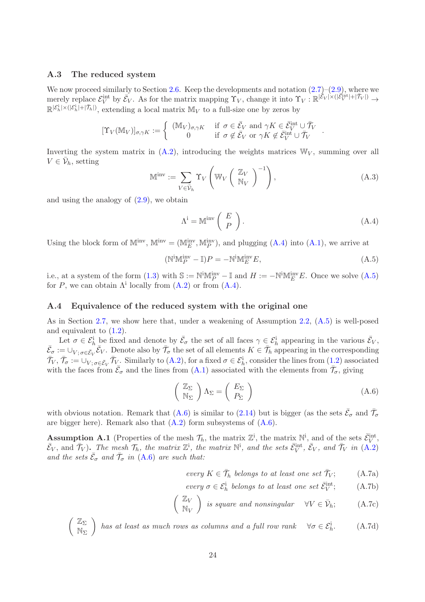### A.3 The reduced system

We now proceed similarly to Section [2.6.](#page-5-6) Keep the developments and notation  $(2.7)$ – $(2.9)$ , where we merely replace  $\mathcal{E}_V^{\text{int}}$  by  $\bar{\mathcal{E}}_V$ . As for the matrix mapping  $\Upsilon_V$ , change it into  $\Upsilon_V$ :  $\mathbb{R}^{|\tilde{\mathcal{E}}_V| \times (|\tilde{\mathcal{E}}_V^{\text{int}}| + |\bar{\mathcal{T}}_V|)} \to$  $\mathbb{R}^{|\mathcal{E}_h^i| \times (|\mathcal{E}_h^i| + |\bar{\mathcal{T}}_h|)}$ , extending a local matrix  $\mathbb{M}_V$  to a full-size one by zeros by

$$
[\Upsilon_V(\mathbb{M}_V)]_{\sigma,\gamma K} := \left\{ \begin{array}{cc} (\mathbb{M}_V)_{\sigma,\gamma K} & \text{if } \sigma \in \bar{\mathcal{E}}_V \text{ and } \gamma K \in \bar{\mathcal{E}}_V^{\text{int}} \cup \bar{\mathcal{T}}_V \\ 0 & \text{if } \sigma \notin \bar{\mathcal{E}}_V \text{ or } \gamma K \notin \bar{\mathcal{E}}_V^{\text{int}} \cup \bar{\mathcal{T}}_V \end{array} \right. .
$$

Inverting the system matrix in  $(A.2)$ , introducing the weights matrices  $\mathbb{W}_V$ , summing over all  $V \in \bar{\mathcal{V}}_h$ , setting

$$
\mathbb{M}^{\text{inv}} := \sum_{V \in \bar{\mathcal{V}}_h} \Upsilon_V \left( \mathbb{W}_V \left( \begin{array}{c} \mathbb{Z}_V \\ \mathbb{N}_V \end{array} \right)^{-1} \right), \tag{A.3}
$$

and using the analogy of  $(2.9)$ , we obtain

<span id="page-23-0"></span>
$$
\Lambda^{\mathbf{i}} = \mathbb{M}^{\text{inv}} \left( \begin{array}{c} E \\ P \end{array} \right). \tag{A.4}
$$

Using the block form of  $M^{\text{inv}}$ ,  $M^{\text{inv}} = (M^{\text{inv}}_E, M^{\text{inv}}_P)$ , and plugging  $(A.4)$  into  $(A.1)$ , we arrive at

<span id="page-23-1"></span>
$$
(\mathbb{N}^{\mathbf{i}}\mathbb{M}_P^{\mathbf{i}\mathbf{w}} - \mathbb{I})P = -\mathbb{N}^{\mathbf{i}}\mathbb{M}_E^{\mathbf{i}\mathbf{w}}E,\tag{A.5}
$$

i.e., at a system of the form  $(1.3)$  with  $\mathbb{S} := \mathbb{N}^{\mathbb{N}} \mathbb{M}_P^{\mathbb{N}^{\vee}} - \mathbb{I}$  and  $H := -\mathbb{N}^{\mathbb{N}} \mathbb{M}_E^{\mathbb{N}^{\vee}} E$ . Once we solve  $(A.5)$ for P, we can obtain  $\Lambda^i$  locally from  $(A.2)$  or from  $(A.4)$ .

#### A.4 Equivalence of the reduced system with the original one

As in Section [2.7,](#page-5-7) we show here that, under a weakening of Assumption [2.2,](#page-6-0) [\(A.5\)](#page-23-1) is well-posed and equivalent to [\(1.2\)](#page-1-2).

Let  $\sigma \in \mathcal{E}_h^i$  be fixed and denote by  $\bar{\mathcal{E}}_{\sigma}$  the set of all faces  $\gamma \in \mathcal{E}_h^i$  appearing in the various  $\bar{\mathcal{E}}_V$ ,  $\bar{\mathcal{E}}_{\sigma} := \cup_{V; \sigma \in \bar{\mathcal{E}}_V} \bar{\mathcal{E}}_V$ . Denote also by  $\bar{\mathcal{T}}_{\sigma}$  the set of all elements  $K \in \bar{\mathcal{T}}_h$  appearing in the corresponding  $\bar{\mathcal{T}}_V$ ,  $\bar{\mathcal{T}}_{\sigma} := \cup_{V; \sigma \in \bar{\mathcal{E}}_V} \bar{\mathcal{T}}_{V}$ . Similarly to  $(A.2)$ , for a fixed  $\sigma \in \mathcal{E}_h^i$ , consider the lines from  $(1.2)$  associated with the faces from  $\bar{\mathcal{E}}_{\sigma}$  and the lines from  $(A.1)$  associated with the elements from  $\bar{\mathcal{T}}_{\sigma}$ , giving

<span id="page-23-2"></span>
$$
\left(\begin{array}{c}\mathbb{Z}_{\Sigma}\\ \mathbb{N}_{\Sigma}\end{array}\right)\Lambda_{\Sigma}=\left(\begin{array}{c}E_{\Sigma}\\ P_{\Sigma}\end{array}\right)
$$
\n(A.6)

with obvious notation. Remark that [\(A.6\)](#page-23-2) is similar to [\(2.14\)](#page-5-4) but is bigger (as the sets  $\bar{\mathcal{E}}_{\sigma}$  and  $\bar{\mathcal{T}}_{\sigma}$ are bigger here). Remark also that  $(A.2)$  form subsystems of  $(A.6)$ .

<span id="page-23-3"></span>**Assumption A.1** (Properties of the mesh  $\mathcal{T}_h$ , the matrix  $\mathbb{Z}^i$ , the matrix  $\mathbb{N}^i$ , and of the sets  $\bar{\mathcal{E}}_V^{\text{int}}$ ,  $\bar{\mathcal{E}}_V$ , and  $\bar{\mathcal{T}}_V$ ). *The mesh*  $\mathcal{T}_h$ , the matrix  $\mathbb{Z}^i$ , the matrix  $\mathbb{N}^i$ , and the sets  $\bar{\mathcal{E}}_V^{int}$ ,  $\bar{\mathcal{E}}_V$ , and  $\bar{\mathcal{T}}_V$  in  $(A.2)$ and the sets  $\bar{\mathcal{E}}_{\sigma}$  and  $\bar{\mathcal{T}}_{\sigma}$  in [\(A.6\)](#page-23-2) are such that:

<span id="page-23-4"></span>every 
$$
K \in \overline{\mathcal{T}}_h
$$
 belongs to at least one set  $\overline{\mathcal{T}}_V$ ; (A.7a)

<span id="page-23-5"></span>every 
$$
\sigma \in \mathcal{E}_h^i
$$
 belongs to at least one set  $\bar{\mathcal{E}}_V^{\text{int}}$ ; (A.7b)

$$
\begin{pmatrix} \mathbb{Z}_V \\ \mathbb{N}_V \end{pmatrix}
$$
 is square and nonsingular  $\forall V \in \bar{\mathcal{V}}_h;$  (A.7c)

 $\angle$  Z<sub>Σ</sub>  $\mathbb{N}_{\Sigma}$ *has at least as much rows as columns and a full row rank*  $\forall \sigma \in \mathcal{E}_h^{\text{i}}$  $(A.7d)$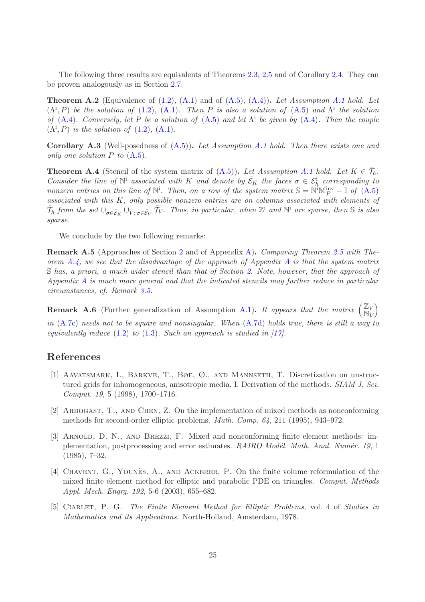The following three results are equivalents of Theorems [2.3,](#page-6-6) [2.5](#page-7-4) and of Corollary [2.4.](#page-7-6) They can be proven analogously as in Section [2.7.](#page-5-7)

Theorem A.2 (Equivalence of [\(1.2\)](#page-1-2), [\(A.1\)](#page-22-1) and of [\(A.5\)](#page-23-1), [\(A.4\)](#page-23-0)). *Let Assumption [A.1](#page-23-3) hold. Let*  $(\Lambda^i, P)$  *be the solution of* [\(1.2\)](#page-1-2), [\(A.1\)](#page-22-1). Then P *is also a solution of* [\(A.5\)](#page-23-1) *and*  $\Lambda^i$  *the solution of* [\(A.4\)](#page-23-0)*. Conversely, let* P *be a solution of* [\(A.5\)](#page-23-1) *and let* Λ i *be given by* [\(A.4\)](#page-23-0)*. Then the couple*  $(\Lambda^i, P)$  *is the solution of*  $(1.2)$ ,  $(A.1)$ *.* 

Corollary A.3 (Well-posedness of [\(A.5\)](#page-23-1)). *Let Assumption [A.1](#page-23-3) hold. Then there exists one and only one solution* P *to* [\(A.5\)](#page-23-1)*.*

<span id="page-24-5"></span>**Theorem A.4** (Stencil of the system matrix of  $(A.5)$ ). Let Assumption [A.1](#page-23-3) hold. Let  $K \in \overline{\mathcal{T}}_h$ . *Consider the line of*  $\mathbb{N}^i$  *associated with* K *and denote by*  $\bar{\mathcal{E}}_K$  *the faces*  $\sigma \in \mathcal{E}_h^i$  *corresponding to nonzero entries on this line of*  $\mathbb{N}^i$ . *Then, on a row of the system matrix*  $\mathbb{S} = \mathbb{N}^i \mathbb{M}_P^{\text{inv}} - \mathbb{I}$  *of*  $(A.5)$ *associated with this* K*, only possible nonzero entries are on columns associated with elements of*  $\bar{\mathcal{T}}_h$  from the set  $\cup_{\sigma \in \bar{\mathcal{E}}_K} \cup_{V; \sigma \in \bar{\mathcal{E}}_V} \bar{\mathcal{T}}_V$ . Thus, in particular, when  $\mathbb{Z}^i$  and  $\mathbb{N}^i$  are sparse, then S is also *sparse.*

We conclude by the two following remarks:

Remark A.5 (Approaches of Section [2](#page-1-0) and of Appendix [A\)](#page-22-0). *Comparing Theorem [2.5](#page-7-4) with Theorem [A.4,](#page-24-5) we see that the disadvantage of the approach of Appendix [A](#page-22-0) is that the system matrix* S *has, a priori, a much wider stencil than that of Section [2.](#page-1-0) Note, however, that the approach of Appendix [A](#page-22-0) is much more general and that the indicated stencils may further reduce in particular circumstances, cf. Remark [3.5.](#page-11-4)*

**Remark A.6** (Further generalization of Assumption [A.1\)](#page-23-3). It appears that the matrix  $\begin{pmatrix} \mathbb{Z}_V \\ \mathbb{N} \end{pmatrix}$  $\dot{\mathbb{N}}_V$  $\overline{ }$ *in* [\(A.7c\)](#page-23-4) *needs not to be square and nonsingular. When* [\(A.7d\)](#page-23-5) *holds true, there is still a way to*

*equivalently reduce* [\(1.2\)](#page-1-2) *to* [\(1.3\)](#page-1-1)*. Such an approach is studied in [\[17\]](#page-25-9).*

### <span id="page-24-4"></span>References

- [1] Aavatsmark, I., Barkve, T., Bøe, Ø., and Mannseth, T. Discretization on unstructured grids for inhomogeneous, anisotropic media. I. Derivation of the methods. *SIAM J. Sci. Comput. 19*, 5 (1998), 1700–1716.
- <span id="page-24-3"></span>[2] Arbogast, T., and Chen, Z. On the implementation of mixed methods as nonconforming methods for second-order elliptic problems. *Math. Comp. 64*, 211 (1995), 943–972.
- <span id="page-24-0"></span>[3] Arnold, D. N., and Brezzi, F. Mixed and nonconforming finite element methods: implementation, postprocessing and error estimates. *RAIRO Modél. Math. Anal. Numér. 19*, 1 (1985), 7–32.
- <span id="page-24-1"></span>[4] CHAVENT, G., YOUNES, A., AND ACKERER, P. On the finite volume reformulation of the mixed finite element method for elliptic and parabolic PDE on triangles. *Comput. Methods Appl. Mech. Engrg. 192*, 5-6 (2003), 655–682.
- <span id="page-24-2"></span>[5] Ciarlet, P. G. *The Finite Element Method for Elliptic Problems*, vol. 4 of *Studies in Mathematics and its Applications*. North-Holland, Amsterdam, 1978.